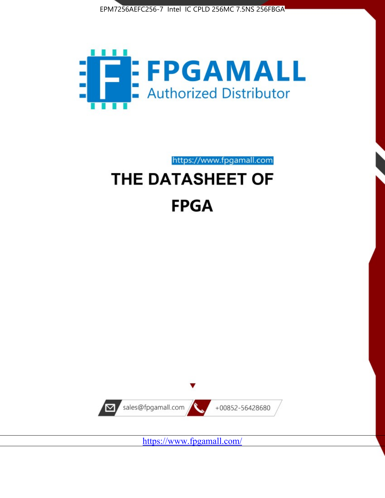



https://www.fpgamall.com

# THE DATASHEET OF **FPGA**



<https://www.fpgamall.com/>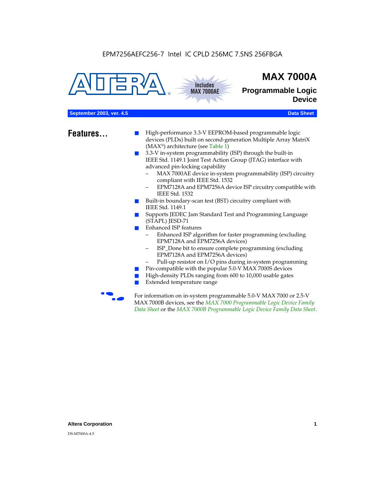



# **MAX 7000A**

**Programmable Logic Device**

## **September 2003, ver. 4.5 Data Sheet** Construction of the Construction of the Construction of the Construction of the Construction of the Construction of the Construction of the Construction of the Construction of the Cons

- **Features...** High-performance 3.3-V EEPROM-based programmable logic devices (PLDs) built on second-generation Multiple Array MatriX (MAX®) architecture (see Table 1)
	- 3.3-V in-system programmability (ISP) through the built-in IEEE Std. 1149.1 Joint Test Action Group (JTAG) interface with advanced pin-locking capability
		- MAX 7000AE device in-system programmability (ISP) circuitry compliant with IEEE Std. 1532
		- EPM7128A and EPM7256A device ISP circuitry compatible with IEEE Std. 1532
	- Built-in boundary-scan test (BST) circuitry compliant with IEEE Std. 1149.1
	- Supports JEDEC Jam Standard Test and Programming Language (STAPL) JESD-71
	- Enhanced ISP features
		- Enhanced ISP algorithm for faster programming (excluding EPM7128A and EPM7256A devices)
		- ISP\_Done bit to ensure complete programming (excluding EPM7128A and EPM7256A devices)
		- Pull-up resistor on I/O pins during in-system programming
	- Pin-compatible with the popular 5.0-V MAX 7000S devices
	- High-density PLDs ranging from 600 to 10,000 usable gates
	- Extended temperature range

For information on in-system programmable 5.0-V MAX 7000 or 2.5-V MAX 7000B devices, see the *MAX 7000 Programmable Logic Device Family Data Sheet* or the *MAX 7000B Programmable Logic Device Family Data Sheet*.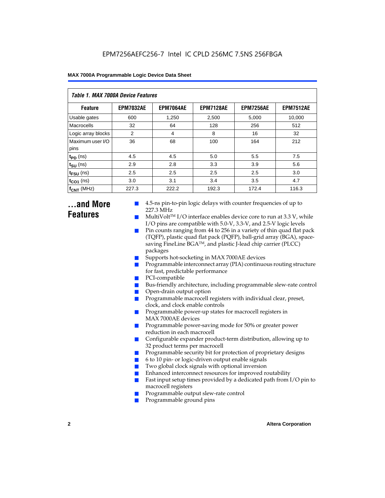| Table 1. MAX 7000A Device Features |                  |                  |                  |                  |                  |  |  |  |  |
|------------------------------------|------------------|------------------|------------------|------------------|------------------|--|--|--|--|
| <b>Feature</b>                     | <b>EPM7032AE</b> | <b>EPM7064AE</b> | <b>EPM7128AE</b> | <b>EPM7256AE</b> | <b>EPM7512AE</b> |  |  |  |  |
| Usable gates                       | 600              | 1,250            | 2,500            | 5,000            | 10,000           |  |  |  |  |
| Macrocells                         | 32               | 64               | 128              | 256              | 512              |  |  |  |  |
| Logic array blocks                 | 2                | 4                | 8                | 16               | 32               |  |  |  |  |
| Maximum user I/O<br>pins           | 36               | 68               | 100              | 164              | 212              |  |  |  |  |
| $t_{PD}$ (ns)                      | 4.5              | 4.5              | 5.0              | 5.5              | 7.5              |  |  |  |  |
| $t_{\text{SU}}$ (ns)               | 2.9              | 2.8              | 3.3              | 3.9              | 5.6              |  |  |  |  |
| $t_{\text{FSU}}$ (ns)              | 2.5              | 2.5              | 2.5              | 2.5              | 3.0              |  |  |  |  |
| $t_{CO1}$ (ns)                     | 3.0              | 3.1              | 3.4              | 3.5              | 4.7              |  |  |  |  |
| $f_{\text{CNT}}$ (MHz)             | 227.3            | 222.2            | 192.3            | 172.4            | 116.3            |  |  |  |  |

# **...and More Features**

- 4.5-ns pin-to-pin logic delays with counter frequencies of up to 227.3 MHz
- $Multivolt<sup>TM</sup> I/O interface enables device core to run at 3.3 V, while$ I/O pins are compatible with 5.0-V, 3.3-V, and 2.5-V logic levels
- Pin counts ranging from 44 to 256 in a variety of thin quad flat pack (TQFP), plastic quad flat pack (PQFP), ball-grid array (BGA), spacesaving FineLine BGATM, and plastic J-lead chip carrier (PLCC) packages
- Supports hot-socketing in MAX 7000AE devices
- Programmable interconnect array (PIA) continuous routing structure for fast, predictable performance
- PCI-compatible
- Bus-friendly architecture, including programmable slew-rate control
- Open-drain output option
- Programmable macrocell registers with individual clear, preset, clock, and clock enable controls
- Programmable power-up states for macrocell registers in MAX 7000AE devices
- Programmable power-saving mode for 50% or greater power reduction in each macrocell
- Configurable expander product-term distribution, allowing up to 32 product terms per macrocell
- Programmable security bit for protection of proprietary designs
- 6 to 10 pin- or logic-driven output enable signals
- Two global clock signals with optional inversion
- Enhanced interconnect resources for improved routability
- Fast input setup times provided by a dedicated path from  $I/O$  pin to macrocell registers
- Programmable output slew-rate control
- Programmable ground pins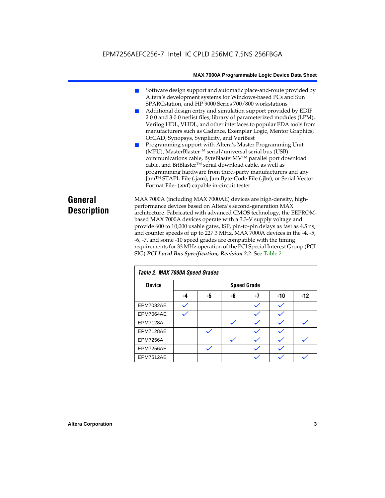- Software design support and automatic place-and-route provided by Altera's development systems for Windows-based PCs and Sun SPARCstation, and HP 9000 Series 700/800 workstations
- Additional design entry and simulation support provided by EDIF 2 0 0 and 3 0 0 netlist files, library of parameterized modules (LPM), Verilog HDL, VHDL, and other interfaces to popular EDA tools from manufacturers such as Cadence, Exemplar Logic, Mentor Graphics, OrCAD, Synopsys, Synplicity, and VeriBest
- Programming support with Altera's Master Programming Unit (MPU), MasterBlaster™ serial/universal serial bus (USB) communications cable, ByteBlasterMVTM parallel port download cable, and BitBlaster™ serial download cable, as well as programming hardware from third-party manufacturers and any JamTM STAPL File (**.jam**), Jam Byte-Code File (**.jbc**), or Serial Vector Format File- (**.svf**) capable in-circuit tester

# **General Description**

MAX 7000A (including MAX 7000AE) devices are high-density, highperformance devices based on Altera's second-generation MAX architecture. Fabricated with advanced CMOS technology, the EEPROMbased MAX 7000A devices operate with a 3.3-V supply voltage and provide 600 to 10,000 usable gates, ISP, pin-to-pin delays as fast as 4.5 ns, and counter speeds of up to 227.3 MHz. MAX 7000A devices in the -4, -5, -6, -7, and some -10 speed grades are compatible with the timing requirements for 33 MHz operation of the PCI Special Interest Group (PCI SIG) *PCI Local Bus Specification, Revision 2.2*. See Table 2.

| Table 2. MAX 7000A Speed Grades |    |              |    |                    |       |       |  |
|---------------------------------|----|--------------|----|--------------------|-------|-------|--|
| <b>Device</b>                   |    |              |    | <b>Speed Grade</b> |       |       |  |
|                                 | -4 | -5           | -6 | $-7$               | $-10$ | $-12$ |  |
| EPM7032AE                       |    |              |    |                    |       |       |  |
| EPM7064AE                       |    |              |    |                    |       |       |  |
| <b>EPM7128A</b>                 |    |              |    |                    |       |       |  |
| EPM7128AE                       |    |              |    |                    |       |       |  |
| <b>EPM7256A</b>                 |    |              |    |                    |       |       |  |
| EPM7256AE                       |    | $\checkmark$ |    |                    |       |       |  |
| EPM7512AE                       |    |              |    |                    |       |       |  |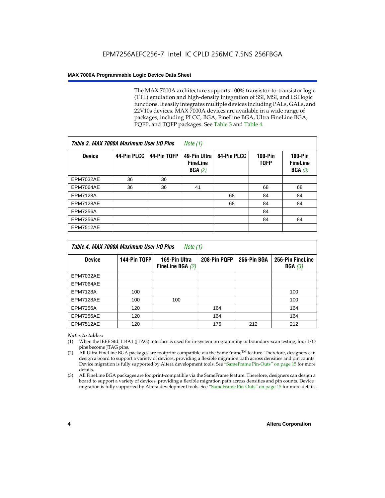The MAX 7000A architecture supports 100% transistor-to-transistor logic (TTL) emulation and high-density integration of SSI, MSI, and LSI logic functions. It easily integrates multiple devices including PALs, GALs, and 22V10s devices. MAX 7000A devices are available in a wide range of packages, including PLCC, BGA, FineLine BGA, Ultra FineLine BGA, PQFP, and TQFP packages. See Table 3 and Table 4.

| Table 3. MAX 7000A Maximum User I/O Pins |             |             | Note (1)                                  |             |                               |                                        |
|------------------------------------------|-------------|-------------|-------------------------------------------|-------------|-------------------------------|----------------------------------------|
| <b>Device</b>                            | 44-Pin PLCC | 44-Pin TQFP | 49-Pin Ultra<br><b>FineLine</b><br>BGA(2) | 84-Pin PLCC | <b>100-Pin</b><br><b>TOFP</b> | $100-Pin$<br><b>FineLine</b><br>BGA(3) |
| EPM7032AE                                | 36          | 36          |                                           |             |                               |                                        |
| EPM7064AE                                | 36          | 36          | 41                                        |             | 68                            | 68                                     |
| <b>EPM7128A</b>                          |             |             |                                           | 68          | 84                            | 84                                     |
| EPM7128AE                                |             |             |                                           | 68          | 84                            | 84                                     |
| <b>EPM7256A</b>                          |             |             |                                           |             | 84                            |                                        |
| EPM7256AE                                |             |             |                                           |             | 84                            | 84                                     |
| <b>EPM7512AE</b>                         |             |             |                                           |             |                               |                                        |

| Table 4. MAX 7000A Maximum User I/O Pins<br>Note (1) |              |                                     |              |             |                            |  |  |  |
|------------------------------------------------------|--------------|-------------------------------------|--------------|-------------|----------------------------|--|--|--|
| <b>Device</b>                                        | 144-Pin TQFP | 169-Pin Ultra<br>FineLine BGA $(2)$ | 208-Pin PQFP | 256-Pin BGA | 256-Pin FineLine<br>BGA(3) |  |  |  |
| EPM7032AE                                            |              |                                     |              |             |                            |  |  |  |
| EPM7064AE                                            |              |                                     |              |             |                            |  |  |  |
| <b>EPM7128A</b>                                      | 100          |                                     |              |             | 100                        |  |  |  |
| EPM7128AE                                            | 100          | 100                                 |              |             | 100                        |  |  |  |
| <b>EPM7256A</b>                                      | 120          |                                     | 164          |             | 164                        |  |  |  |
| EPM7256AE                                            | 120          |                                     | 164          |             | 164                        |  |  |  |
| EPM7512AE                                            | 120          |                                     | 176          | 212         | 212                        |  |  |  |

#### *Notes to tables:*

- (1) When the IEEE Std. 1149.1 (JTAG) interface is used for in-system programming or boundary-scan testing, four I/O pins become JTAG pins.
- (2) All Ultra FineLine BGA packages are footprint-compatible via the SameFrame<sup>TM</sup> feature. Therefore, designers can design a board to support a variety of devices, providing a flexible migration path across densities and pin counts. Device migration is fully supported by Altera development tools. See "SameFrame Pin-Outs" on page 15 for more details.
- (3) All FineLine BGA packages are footprint-compatible via the SameFrame feature. Therefore, designers can design a board to support a variety of devices, providing a flexible migration path across densities and pin counts. Device migration is fully supported by Altera development tools. See "SameFrame Pin-Outs" on page 15 for more details.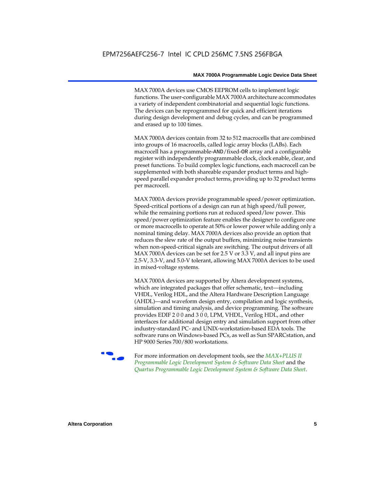MAX 7000A devices use CMOS EEPROM cells to implement logic functions. The user-configurable MAX 7000A architecture accommodates a variety of independent combinatorial and sequential logic functions. The devices can be reprogrammed for quick and efficient iterations during design development and debug cycles, and can be programmed and erased up to 100 times.

MAX 7000A devices contain from 32 to 512 macrocells that are combined into groups of 16 macrocells, called logic array blocks (LABs). Each macrocell has a programmable-AND/fixed-OR array and a configurable register with independently programmable clock, clock enable, clear, and preset functions. To build complex logic functions, each macrocell can be supplemented with both shareable expander product terms and highspeed parallel expander product terms, providing up to 32 product terms per macrocell.

MAX 7000A devices provide programmable speed/power optimization. Speed-critical portions of a design can run at high speed/full power, while the remaining portions run at reduced speed/low power. This speed/power optimization feature enables the designer to configure one or more macrocells to operate at 50% or lower power while adding only a nominal timing delay. MAX 7000A devices also provide an option that reduces the slew rate of the output buffers, minimizing noise transients when non-speed-critical signals are switching. The output drivers of all MAX 7000A devices can be set for 2.5 V or 3.3 V, and all input pins are 2.5-V, 3.3-V, and 5.0-V tolerant, allowing MAX 7000A devices to be used in mixed-voltage systems.

MAX 7000A devices are supported by Altera development systems, which are integrated packages that offer schematic, text—including VHDL, Verilog HDL, and the Altera Hardware Description Language (AHDL)—and waveform design entry, compilation and logic synthesis, simulation and timing analysis, and device programming. The software provides EDIF 2 0 0 and 3 0 0, LPM, VHDL, Verilog HDL, and other interfaces for additional design entry and simulation support from other industry-standard PC- and UNIX-workstation-based EDA tools. The software runs on Windows-based PCs, as well as Sun SPARCstation, and HP 9000 Series 700/800 workstations.

**For more information on development tools, see the** *MAX+PLUS II Programmable Logic Development System & Software Data Sheet* and the *Quartus Programmable Logic Development System & Software Data Sheet*.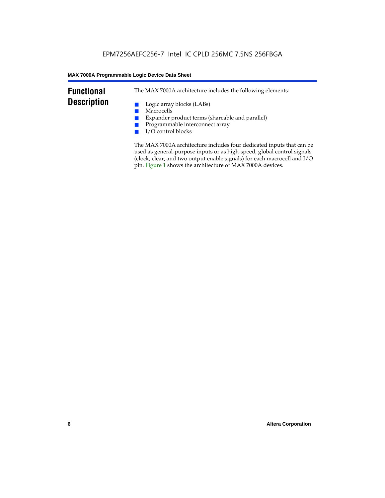# **Functional Description**

The MAX 7000A architecture includes the following elements:

- Logic array blocks (LABs)
- Macrocells
- Expander product terms (shareable and parallel)
- Programmable interconnect array
- I/O control blocks

The MAX 7000A architecture includes four dedicated inputs that can be used as general-purpose inputs or as high-speed, global control signals (clock, clear, and two output enable signals) for each macrocell and I/O pin. Figure 1 shows the architecture of MAX 7000A devices.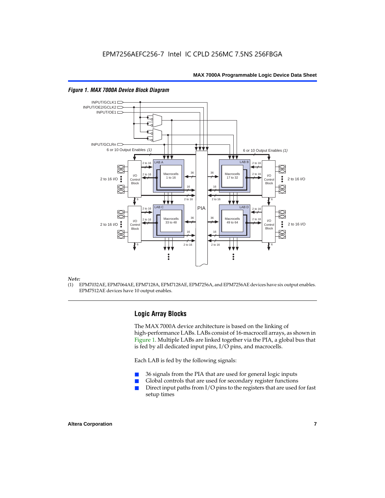

#### *Figure 1. MAX 7000A Device Block Diagram*

#### *Note:*

(1) EPM7032AE, EPM7064AE, EPM7128A, EPM7128AE, EPM7256A, and EPM7256AE devices have six output enables. EPM7512AE devices have 10 output enables.

# **Logic Array Blocks**

The MAX 7000A device architecture is based on the linking of high-performance LABs. LABs consist of 16-macrocell arrays, as shown in Figure 1. Multiple LABs are linked together via the PIA, a global bus that is fed by all dedicated input pins, I/O pins, and macrocells.

Each LAB is fed by the following signals:

- 36 signals from the PIA that are used for general logic inputs
- Global controls that are used for secondary register functions
- Direct input paths from  $I/O$  pins to the registers that are used for fast setup times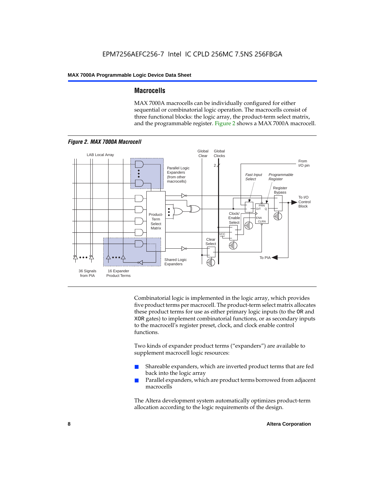# **Macrocells**

MAX 7000A macrocells can be individually configured for either sequential or combinatorial logic operation. The macrocells consist of three functional blocks: the logic array, the product-term select matrix, and the programmable register. Figure 2 shows a MAX 7000A macrocell.



Combinatorial logic is implemented in the logic array, which provides five product terms per macrocell. The product-term select matrix allocates these product terms for use as either primary logic inputs (to the OR and XOR gates) to implement combinatorial functions, or as secondary inputs to the macrocell's register preset, clock, and clock enable control functions.

Two kinds of expander product terms ("expanders") are available to supplement macrocell logic resources:

- Shareable expanders, which are inverted product terms that are fed back into the logic array
- Parallel expanders, which are product terms borrowed from adjacent macrocells

The Altera development system automatically optimizes product-term allocation according to the logic requirements of the design.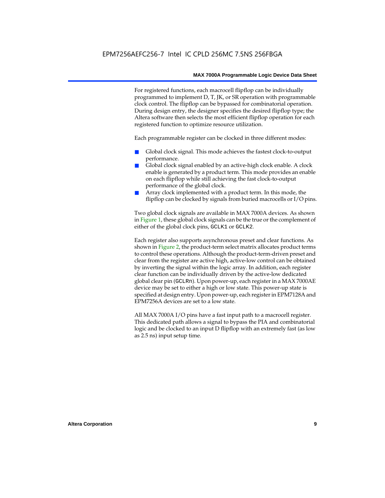For registered functions, each macrocell flipflop can be individually programmed to implement D, T, JK, or SR operation with programmable clock control. The flipflop can be bypassed for combinatorial operation. During design entry, the designer specifies the desired flipflop type; the Altera software then selects the most efficient flipflop operation for each registered function to optimize resource utilization.

Each programmable register can be clocked in three different modes:

- Global clock signal. This mode achieves the fastest clock-to-output performance.
- Global clock signal enabled by an active-high clock enable. A clock enable is generated by a product term. This mode provides an enable on each flipflop while still achieving the fast clock-to-output performance of the global clock.
- Array clock implemented with a product term. In this mode, the flipflop can be clocked by signals from buried macrocells or I/O pins.

Two global clock signals are available in MAX 7000A devices. As shown in Figure 1, these global clock signals can be the true or the complement of either of the global clock pins, GCLK1 or GCLK2.

Each register also supports asynchronous preset and clear functions. As shown in Figure 2, the product-term select matrix allocates product terms to control these operations. Although the product-term-driven preset and clear from the register are active high, active-low control can be obtained by inverting the signal within the logic array. In addition, each register clear function can be individually driven by the active-low dedicated global clear pin (GCLRn). Upon power-up, each register in a MAX 7000AE device may be set to either a high or low state. This power-up state is specified at design entry. Upon power-up, each register in EPM7128A and EPM7256A devices are set to a low state.

All MAX 7000A I/O pins have a fast input path to a macrocell register. This dedicated path allows a signal to bypass the PIA and combinatorial logic and be clocked to an input D flipflop with an extremely fast (as low as 2.5 ns) input setup time.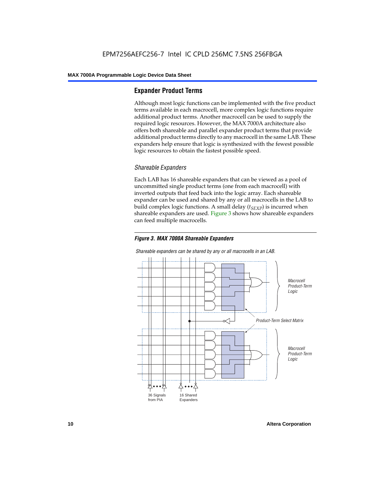# **Expander Product Terms**

Although most logic functions can be implemented with the five product terms available in each macrocell, more complex logic functions require additional product terms. Another macrocell can be used to supply the required logic resources. However, the MAX 7000A architecture also offers both shareable and parallel expander product terms that provide additional product terms directly to any macrocell in the same LAB. These expanders help ensure that logic is synthesized with the fewest possible logic resources to obtain the fastest possible speed.

### *Shareable Expanders*

Each LAB has 16 shareable expanders that can be viewed as a pool of uncommitted single product terms (one from each macrocell) with inverted outputs that feed back into the logic array. Each shareable expander can be used and shared by any or all macrocells in the LAB to build complex logic functions. A small delay  $(t_{SFXP})$  is incurred when shareable expanders are used. Figure 3 shows how shareable expanders can feed multiple macrocells.





*Shareable expanders can be shared by any or all macrocells in an LAB.*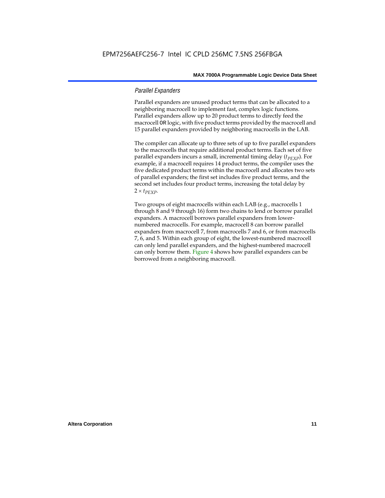## *Parallel Expanders*

Parallel expanders are unused product terms that can be allocated to a neighboring macrocell to implement fast, complex logic functions. Parallel expanders allow up to 20 product terms to directly feed the macrocell OR logic, with five product terms provided by the macrocell and 15 parallel expanders provided by neighboring macrocells in the LAB.

The compiler can allocate up to three sets of up to five parallel expanders to the macrocells that require additional product terms. Each set of five parallel expanders incurs a small, incremental timing delay (*t<sub>PEXP</sub>*). For example, if a macrocell requires 14 product terms, the compiler uses the five dedicated product terms within the macrocell and allocates two sets of parallel expanders; the first set includes five product terms, and the second set includes four product terms, increasing the total delay by  $2 \times t_{PEXP}$ .

Two groups of eight macrocells within each LAB (e.g., macrocells 1 through 8 and 9 through 16) form two chains to lend or borrow parallel expanders. A macrocell borrows parallel expanders from lowernumbered macrocells. For example, macrocell 8 can borrow parallel expanders from macrocell 7, from macrocells 7 and 6, or from macrocells 7, 6, and 5. Within each group of eight, the lowest-numbered macrocell can only lend parallel expanders, and the highest-numbered macrocell can only borrow them. Figure 4 shows how parallel expanders can be borrowed from a neighboring macrocell.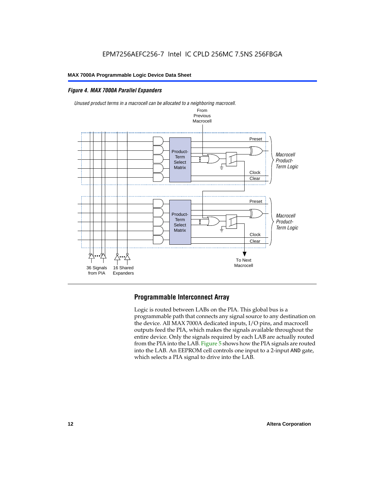# *Figure 4. MAX 7000A Parallel Expanders*



*Unused product terms in a macrocell can be allocated to a neighboring macrocell.*

# **Programmable Interconnect Array**

Logic is routed between LABs on the PIA. This global bus is a programmable path that connects any signal source to any destination on the device. All MAX 7000A dedicated inputs, I/O pins, and macrocell outputs feed the PIA, which makes the signals available throughout the entire device. Only the signals required by each LAB are actually routed from the PIA into the LAB. Figure 5 shows how the PIA signals are routed into the LAB. An EEPROM cell controls one input to a 2-input AND gate, which selects a PIA signal to drive into the LAB.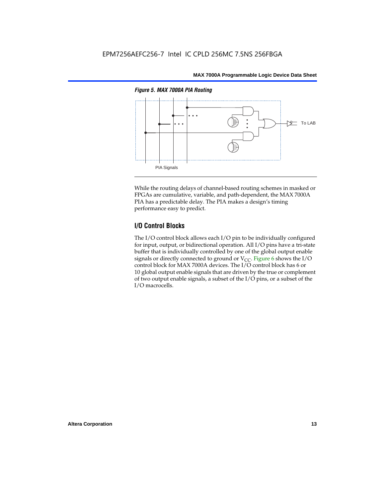

While the routing delays of channel-based routing schemes in masked or FPGAs are cumulative, variable, and path-dependent, the MAX 7000A PIA has a predictable delay. The PIA makes a design's timing performance easy to predict.

# **I/O Control Blocks**

The I/O control block allows each I/O pin to be individually configured for input, output, or bidirectional operation. All I/O pins have a tri-state buffer that is individually controlled by one of the global output enable signals or directly connected to ground or  $V_{CC}$ . Figure 6 shows the I/O control block for MAX 7000A devices. The I/O control block has 6 or 10 global output enable signals that are driven by the true or complement of two output enable signals, a subset of the I/O pins, or a subset of the I/O macrocells.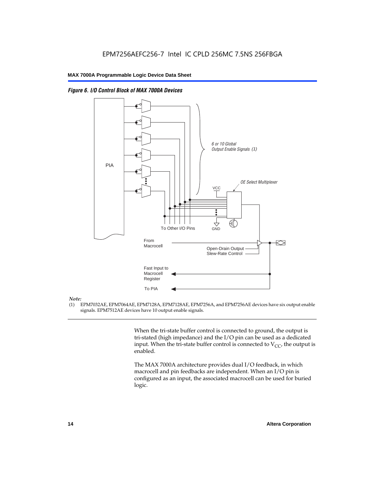

From Macrocell

Fast Input to Macrocell Register

To Other I/O Pins

To PIA



#### *Note:*

(1) EPM7032AE, EPM7064AE, EPM7128A, EPM7128AE, EPM7256A, and EPM7256AE devices have six output enable signals. EPM7512AE devices have 10 output enable signals.

> When the tri-state buffer control is connected to ground, the output is tri-stated (high impedance) and the I/O pin can be used as a dedicated input. When the tri-state buffer control is connected to  $V_{CC}$ , the output is enabled.

Slew-Rate Control

Open-Drain Output

AĽ

GND

↔

The MAX 7000A architecture provides dual I/O feedback, in which macrocell and pin feedbacks are independent. When an I/O pin is configured as an input, the associated macrocell can be used for buried logic.

交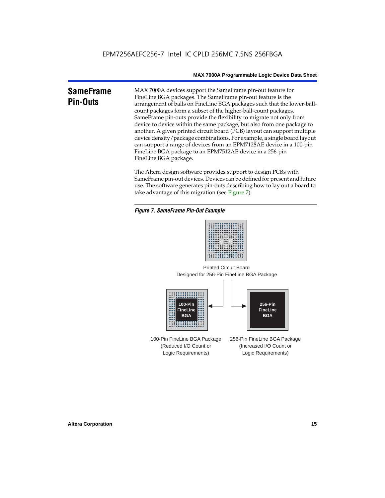# **SameFrame Pin-Outs**

MAX 7000A devices support the SameFrame pin-out feature for FineLine BGA packages. The SameFrame pin-out feature is the arrangement of balls on FineLine BGA packages such that the lower-ballcount packages form a subset of the higher-ball-count packages. SameFrame pin-outs provide the flexibility to migrate not only from device to device within the same package, but also from one package to another. A given printed circuit board (PCB) layout can support multiple device density/package combinations. For example, a single board layout can support a range of devices from an EPM7128AE device in a 100-pin FineLine BGA package to an EPM7512AE device in a 256-pin FineLine BGA package.

The Altera design software provides support to design PCBs with SameFrame pin-out devices. Devices can be defined for present and future use. The software generates pin-outs describing how to lay out a board to take advantage of this migration (see Figure 7).





Designed for 256-Pin FineLine BGA Package Printed Circuit Board



100-Pin FineLine BGA Package (Reduced I/O Count or Logic Requirements) 256-Pin FineLine BGA Package (Increased I/O Count or Logic Requirements)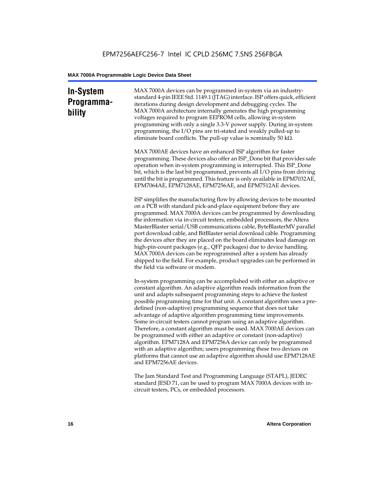# **In-System Programmability**

MAX 7000A devices can be programmed in-system via an industrystandard 4-pin IEEE Std. 1149.1 (JTAG) interface. ISP offers quick, efficient iterations during design development and debugging cycles. The MAX 7000A architecture internally generates the high programming voltages required to program EEPROM cells, allowing in-system programming with only a single 3.3-V power supply. During in-system programming, the I/O pins are tri-stated and weakly pulled-up to eliminate board conflicts. The pull-up value is nominally 50 k $\Omega$ .

MAX 7000AE devices have an enhanced ISP algorithm for faster programming. These devices also offer an ISP\_Done bit that provides safe operation when in-system programming is interrupted. This ISP\_Done bit, which is the last bit programmed, prevents all I/O pins from driving until the bit is programmed. This feature is only available in EPM7032AE, EPM7064AE, EPM7128AE, EPM7256AE, and EPM7512AE devices.

ISP simplifies the manufacturing flow by allowing devices to be mounted on a PCB with standard pick-and-place equipment before they are programmed. MAX 7000A devices can be programmed by downloading the information via in-circuit testers, embedded processors, the Altera MasterBlaster serial/USB communications cable, ByteBlasterMV parallel port download cable, and BitBlaster serial download cable. Programming the devices after they are placed on the board eliminates lead damage on high-pin-count packages (e.g., QFP packages) due to device handling. MAX 7000A devices can be reprogrammed after a system has already shipped to the field. For example, product upgrades can be performed in the field via software or modem.

In-system programming can be accomplished with either an adaptive or constant algorithm. An adaptive algorithm reads information from the unit and adapts subsequent programming steps to achieve the fastest possible programming time for that unit. A constant algorithm uses a predefined (non-adaptive) programming sequence that does not take advantage of adaptive algorithm programming time improvements. Some in-circuit testers cannot program using an adaptive algorithm. Therefore, a constant algorithm must be used. MAX 7000AE devices can be programmed with either an adaptive or constant (non-adaptive) algorithm. EPM7128A and EPM7256A device can only be programmed with an adaptive algorithm; users programming these two devices on platforms that cannot use an adaptive algorithm should use EPM7128AE and EPM7256AE devices.

The Jam Standard Test and Programming Language (STAPL), JEDEC standard JESD 71, can be used to program MAX 7000A devices with incircuit testers, PCs, or embedded processors.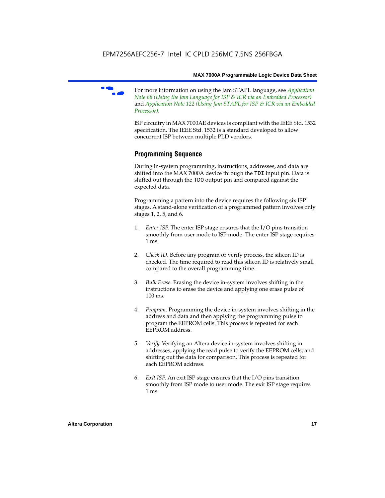

f For more information on using the Jam STAPL language, see *Application Note 88 (Using the Jam Language for ISP & ICR via an Embedded Processor)*  and *Application Note 122 (Using Jam STAPL for ISP & ICR via an Embedded Processor)*.

ISP circuitry in MAX 7000AE devices is compliant with the IEEE Std. 1532 specification. The IEEE Std. 1532 is a standard developed to allow concurrent ISP between multiple PLD vendors.

# **Programming Sequence**

During in-system programming, instructions, addresses, and data are shifted into the MAX 7000A device through the TDI input pin. Data is shifted out through the TDO output pin and compared against the expected data.

Programming a pattern into the device requires the following six ISP stages. A stand-alone verification of a programmed pattern involves only stages 1, 2, 5, and 6.

- 1. *Enter ISP*. The enter ISP stage ensures that the I/O pins transition smoothly from user mode to ISP mode. The enter ISP stage requires 1 ms.
- 2. *Check ID*. Before any program or verify process, the silicon ID is checked. The time required to read this silicon ID is relatively small compared to the overall programming time.
- 3. *Bulk Erase*. Erasing the device in-system involves shifting in the instructions to erase the device and applying one erase pulse of 100 ms.
- 4. *Program*. Programming the device in-system involves shifting in the address and data and then applying the programming pulse to program the EEPROM cells. This process is repeated for each EEPROM address.
- 5. *Verify*. Verifying an Altera device in-system involves shifting in addresses, applying the read pulse to verify the EEPROM cells, and shifting out the data for comparison. This process is repeated for each EEPROM address.
- 6. *Exit ISP*. An exit ISP stage ensures that the I/O pins transition smoothly from ISP mode to user mode. The exit ISP stage requires 1 ms.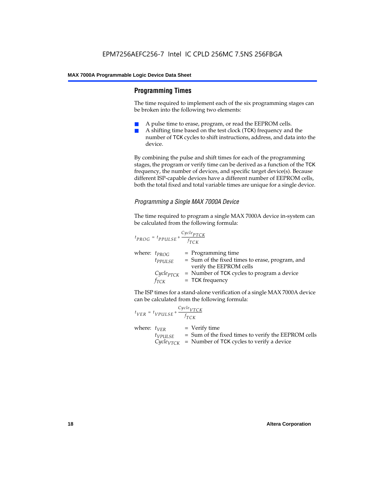# **Programming Times**

The time required to implement each of the six programming stages can be broken into the following two elements:

- A pulse time to erase, program, or read the EEPROM cells.
- A shifting time based on the test clock (TCK) frequency and the number of TCK cycles to shift instructions, address, and data into the device.

By combining the pulse and shift times for each of the programming stages, the program or verify time can be derived as a function of the TCK frequency, the number of devices, and specific target device(s). Because different ISP-capable devices have a different number of EEPROM cells, both the total fixed and total variable times are unique for a single device.

# *Programming a Single MAX 7000A Device*

The time required to program a single MAX 7000A device in-system can be calculated from the following formula:

$$
t_{PROG} = t_{PPULSE} + \frac{c_{ycle_{PTCK}}}{f_{TCK}}
$$
  
where:  $t_{PROG}$  = Programming time  
 $t_{PPULSE}$  = Sum of the fixed times to erase, program, and  
verify the EEPROM cells  
 $C_{ycle_{PTCK}}$  = Number of TCK cycles to program a device  
 $f_{TCK}$  = TCK frequency

The ISP times for a stand-alone verification of a single MAX 7000A device can be calculated from the following formula:

| $t_{VER} = t_{VPULSE} + \frac{Cycle_{VTCK}}{f_{TCK}}$ |                                                                                                                                 |
|-------------------------------------------------------|---------------------------------------------------------------------------------------------------------------------------------|
| where: $t_{VER}$<br>$t_{VPULSE}$                      | $=$ Verify time<br>= Sum of the fixed times to verify the EEPROM cells<br>$CycleVTCK$ = Number of TCK cycles to verify a device |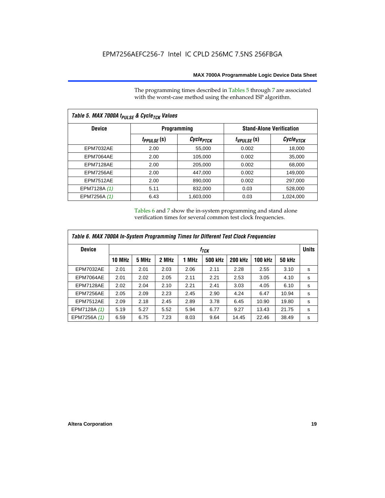The programming times described in Tables 5 through 7 are associated with the worst-case method using the enhanced ISP algorithm.

| Table 5. MAX 7000A t <sub>PULSE</sub> & Cycle <sub>TCK</sub> Values |                 |                       |                 |                                 |  |  |  |  |
|---------------------------------------------------------------------|-----------------|-----------------------|-----------------|---------------------------------|--|--|--|--|
| <b>Device</b>                                                       |                 | <b>Programming</b>    |                 | <b>Stand-Alone Verification</b> |  |  |  |  |
|                                                                     | $t_{PPULSE}(s)$ | Cycle <sub>PTCK</sub> | $t_{VPULSE}(s)$ | Cycle <sub>VTCK</sub>           |  |  |  |  |
| <b>EPM7032AE</b>                                                    | 2.00            | 55,000                | 0.002           | 18,000                          |  |  |  |  |
| <b>EPM7064AE</b>                                                    | 2.00            | 105.000               | 0.002           | 35.000                          |  |  |  |  |
| EPM7128AE                                                           | 2.00            | 205,000               | 0.002           | 68,000                          |  |  |  |  |
| EPM7256AE                                                           | 2.00            | 447.000               | 0.002           | 149.000                         |  |  |  |  |
| <b>EPM7512AE</b>                                                    | 2.00            | 890,000               | 0.002           | 297,000                         |  |  |  |  |
| EPM7128A (1)                                                        | 5.11            | 832.000               | 0.03            | 528,000                         |  |  |  |  |
| EPM7256A (1)                                                        | 6.43            | 1,603,000             | 0.03            | 1,024,000                       |  |  |  |  |

Tables 6 and 7 show the in-system programming and stand alone verification times for several common test clock frequencies.

| Table 6. MAX 7000A In-System Programming Times for Different Test Clock Frequencies |               |                  |       |       |                |                |                |               |   |
|-------------------------------------------------------------------------------------|---------------|------------------|-------|-------|----------------|----------------|----------------|---------------|---|
| <b>Device</b>                                                                       |               | f <sub>тск</sub> |       |       |                |                |                |               |   |
|                                                                                     | <b>10 MHz</b> | 5 MHz            | 2 MHz | 1 MHz | <b>500 kHz</b> | <b>200 kHz</b> | <b>100 kHz</b> | <b>50 kHz</b> |   |
| <b>EPM7032AE</b>                                                                    | 2.01          | 2.01             | 2.03  | 2.06  | 2.11           | 2.28           | 2.55           | 3.10          | s |
| EPM7064AE                                                                           | 2.01          | 2.02             | 2.05  | 2.11  | 2.21           | 2.53           | 3.05           | 4.10          | s |
| EPM7128AE                                                                           | 2.02          | 2.04             | 2.10  | 2.21  | 2.41           | 3.03           | 4.05           | 6.10          | s |
| EPM7256AE                                                                           | 2.05          | 2.09             | 2.23  | 2.45  | 2.90           | 4.24           | 6.47           | 10.94         | s |
| <b>EPM7512AE</b>                                                                    | 2.09          | 2.18             | 2.45  | 2.89  | 3.78           | 6.45           | 10.90          | 19.80         | s |
| EPM7128A (1)                                                                        | 5.19          | 5.27             | 5.52  | 5.94  | 6.77           | 9.27           | 13.43          | 21.75         | s |
| EPM7256A (1)                                                                        | 6.59          | 6.75             | 7.23  | 8.03  | 9.64           | 14.45          | 22.46          | 38.49         | s |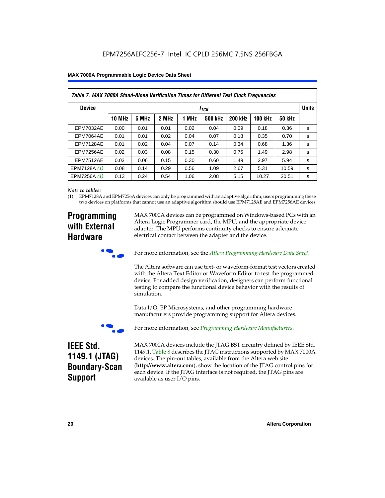|  | <b>MAX 7000A Programmable Logic Device Data Sheet</b> |  |  |  |  |
|--|-------------------------------------------------------|--|--|--|--|
|--|-------------------------------------------------------|--|--|--|--|

| Table 7. MAX 7000A Stand-Alone Verification Times for Different Test Clock Frequencies |               |                           |       |       |                |                |                |               |   |
|----------------------------------------------------------------------------------------|---------------|---------------------------|-------|-------|----------------|----------------|----------------|---------------|---|
| <b>Device</b>                                                                          |               | <b>Units</b><br>$f_{TCK}$ |       |       |                |                |                |               |   |
|                                                                                        | <b>10 MHz</b> | 5 MHz                     | 2 MHz | 1 MHz | <b>500 kHz</b> | <b>200 kHz</b> | <b>100 kHz</b> | <b>50 kHz</b> |   |
| <b>EPM7032AE</b>                                                                       | 0.00          | 0.01                      | 0.01  | 0.02  | 0.04           | 0.09           | 0.18           | 0.36          | s |
| <b>EPM7064AE</b>                                                                       | 0.01          | 0.01                      | 0.02  | 0.04  | 0.07           | 0.18           | 0.35           | 0.70          | s |
| EPM7128AE                                                                              | 0.01          | 0.02                      | 0.04  | 0.07  | 0.14           | 0.34           | 0.68           | 1.36          | s |
| EPM7256AE                                                                              | 0.02          | 0.03                      | 0.08  | 0.15  | 0.30           | 0.75           | 1.49           | 2.98          | s |
| <b>EPM7512AE</b>                                                                       | 0.03          | 0.06                      | 0.15  | 0.30  | 0.60           | 1.49           | 2.97           | 5.94          | s |
| EPM7128A (1)                                                                           | 0.08          | 0.14                      | 0.29  | 0.56  | 1.09           | 2.67           | 5.31           | 10.59         | s |
| EPM7256A (1)                                                                           | 0.13          | 0.24                      | 0.54  | 1.06  | 2.08           | 5.15           | 10.27          | 20.51         | s |

#### *Note to tables:*

(1) EPM7128A and EPM7256A devices can only be programmed with an adaptive algorithm; users programming these two devices on platforms that cannot use an adaptive algorithm should use EPM7128AE and EPM7256AE devices.

# **Programming with External Hardware**

MAX 7000A devices can be programmed on Windows-based PCs with an Altera Logic Programmer card, the MPU, and the appropriate device adapter. The MPU performs continuity checks to ensure adequate electrical contact between the adapter and the device.



For more information, see the *Altera Programming Hardware Data Sheet*.

The Altera software can use text- or waveform-format test vectors created with the Altera Text Editor or Waveform Editor to test the programmed device. For added design verification, designers can perform functional testing to compare the functional device behavior with the results of simulation.

Data I/O, BP Microsystems, and other programming hardware manufacturers provide programming support for Altera devices.



For more information, see *Programming Hardware Manufacturers*.

# **IEEE Std. 1149.1 (JTAG) Boundary-Scan Support**

MAX 7000A devices include the JTAG BST circuitry defined by IEEE Std. 1149.1. Table 8 describes the JTAG instructions supported by MAX 7000A devices. The pin-out tables, available from the Altera web site (**http://www.altera.com**), show the location of the JTAG control pins for each device. If the JTAG interface is not required, the JTAG pins are available as user I/O pins.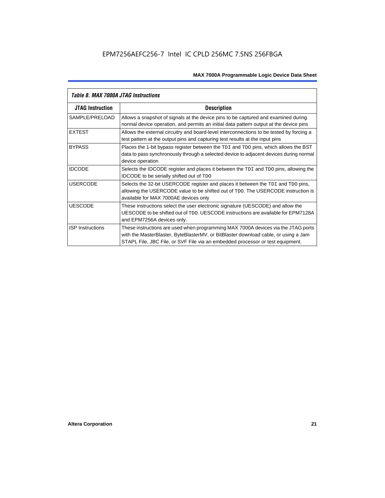| Table 8. MAX 7000A JTAG Instructions |                                                                                                                                                                                                                                                            |  |  |  |  |  |
|--------------------------------------|------------------------------------------------------------------------------------------------------------------------------------------------------------------------------------------------------------------------------------------------------------|--|--|--|--|--|
| <b>JTAG Instruction</b>              | <b>Description</b>                                                                                                                                                                                                                                         |  |  |  |  |  |
| SAMPLE/PRELOAD                       | Allows a snapshot of signals at the device pins to be captured and examined during<br>normal device operation, and permits an initial data pattern output at the device pins                                                                               |  |  |  |  |  |
| <b>EXTEST</b>                        | Allows the external circuitry and board-level interconnections to be tested by forcing a<br>test pattern at the output pins and capturing test results at the input pins                                                                                   |  |  |  |  |  |
| <b>BYPASS</b>                        | Places the 1-bit bypass register between the TDI and TDO pins, which allows the BST<br>data to pass synchronously through a selected device to adjacent devices during normal<br>device operation                                                          |  |  |  |  |  |
| <b>IDCODE</b>                        | Selects the IDCODE register and places it between the TDI and TDO pins, allowing the<br><b>IDCODE</b> to be serially shifted out of TDO                                                                                                                    |  |  |  |  |  |
| <b>USERCODE</b>                      | Selects the 32-bit USERCODE register and places it between the TDI and TDO pins,<br>allowing the USERCODE value to be shifted out of TDO. The USERCODE instruction is<br>available for MAX 7000AE devices only                                             |  |  |  |  |  |
| <b>UESCODE</b>                       | These instructions select the user electronic signature (UESCODE) and allow the<br>UESCODE to be shifted out of TDO, UESCODE instructions are available for EPM7128A<br>and EPM7256A devices only.                                                         |  |  |  |  |  |
| <b>ISP Instructions</b>              | These instructions are used when programming MAX 7000A devices via the JTAG ports<br>with the MasterBlaster, ByteBlasterMV, or BitBlaster download cable, or using a Jam<br>STAPL File, JBC File, or SVF File via an embedded processor or test equipment. |  |  |  |  |  |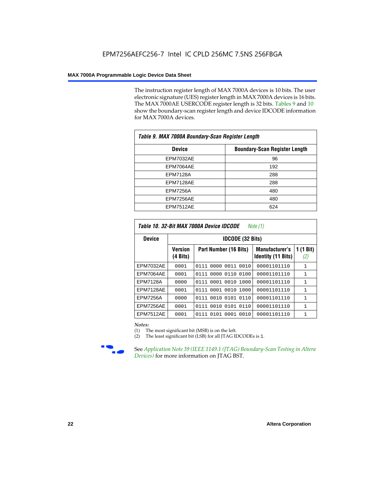The instruction register length of MAX 7000A devices is 10 bits. The user electronic signature (UES) register length in MAX 7000A devices is 16 bits. The MAX 7000AE USERCODE register length is 32 bits. Tables 9 and 10 show the boundary-scan register length and device IDCODE information for MAX 7000A devices.

| Table 9. MAX 7000A Boundary-Scan Register Length |                                      |  |  |  |  |  |
|--------------------------------------------------|--------------------------------------|--|--|--|--|--|
| <b>Device</b>                                    | <b>Boundary-Scan Register Length</b> |  |  |  |  |  |
| <b>EPM7032AE</b>                                 | 96                                   |  |  |  |  |  |
| EPM7064AE                                        | 192                                  |  |  |  |  |  |
| <b>EPM7128A</b>                                  | 288                                  |  |  |  |  |  |
| EPM7128AE                                        | 288                                  |  |  |  |  |  |
| <b>EPM7256A</b>                                  | 480                                  |  |  |  |  |  |
| EPM7256AE                                        | 480                                  |  |  |  |  |  |
| EPM7512AE                                        | 624                                  |  |  |  |  |  |

| Table 10. 32-Bit MAX 7000A Device IDCODE<br>Note (1) |                                      |                           |                                                    |                          |  |  |  |  |  |  |
|------------------------------------------------------|--------------------------------------|---------------------------|----------------------------------------------------|--------------------------|--|--|--|--|--|--|
| <b>Device</b>                                        |                                      | <b>IDCODE (32 Bits)</b>   |                                                    |                          |  |  |  |  |  |  |
|                                                      | <b>Version</b><br>$(4 \text{ Bits})$ | Part Number (16 Bits)     | <b>Manufacturer's</b><br><b>Identity (11 Bits)</b> | $(1 \text{ Bit})$<br>(2) |  |  |  |  |  |  |
| <b>EPM7032AE</b>                                     | 0001                                 | 0111 0000 0011 0010       | 00001101110                                        | $\mathbf{1}$             |  |  |  |  |  |  |
| <b>EPM7064AE</b>                                     | 0001                                 | 0111 0000 0110 0100       | 00001101110                                        | $\mathbf{1}$             |  |  |  |  |  |  |
| <b>EPM7128A</b>                                      | 0000                                 | 0111 0001 0010 1000       | 00001101110                                        | 1                        |  |  |  |  |  |  |
| EPM7128AE                                            | 0001                                 | 0111 0001 0010 1000       | 00001101110                                        | $\mathbf{1}$             |  |  |  |  |  |  |
| <b>EPM7256A</b>                                      | 0000                                 | 0010 0101<br>0110<br>0111 | 00001101110                                        | $\mathbf{1}$             |  |  |  |  |  |  |
| EPM7256AE                                            | 0001                                 | 0010 0101 0110<br>0111    | 00001101110                                        | $\mathbf{1}$             |  |  |  |  |  |  |
| <b>EPM7512AE</b>                                     | 0001                                 | 0111 0101 0001 0010       | 00001101110                                        | $\mathbf{1}$             |  |  |  |  |  |  |

#### *Notes:*

(1) The most significant bit (MSB) is on the left.

(2) The least significant bit (LSB) for all JTAG IDCODEs is 1.



**f See Application Note 39 (IEEE 1149.1 (JTAG) Boundary-Scan Testing in Altera** *Devices)* for more information on JTAG BST.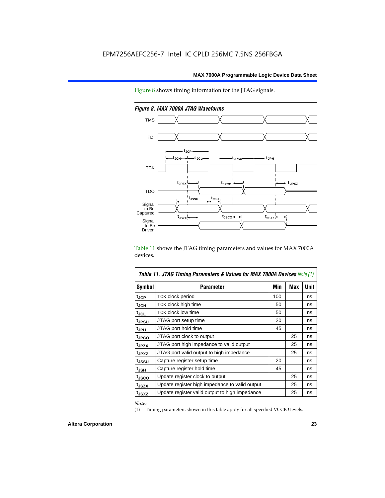Figure 8 shows timing information for the JTAG signals.



*Figure 8. MAX 7000A JTAG Waveforms*

Table 11 shows the JTAG timing parameters and values for MAX 7000A devices.

| <b>Table 11. JTAG Timing Parameters &amp; Values for MAX 7000A Devices Note (1)</b> |                                                |     |     |      |  |  |  |  |
|-------------------------------------------------------------------------------------|------------------------------------------------|-----|-----|------|--|--|--|--|
| Symbol                                                                              | <b>Parameter</b>                               | Min | Max | Unit |  |  |  |  |
| t <sub>JCP</sub>                                                                    | TCK clock period                               | 100 |     | ns   |  |  |  |  |
| t <sub>JCH</sub>                                                                    | TCK clock high time                            | 50  |     | ns   |  |  |  |  |
| tjcl                                                                                | TCK clock low time                             | 50  |     | ns   |  |  |  |  |
| tjpsu                                                                               | JTAG port setup time                           | 20  |     | ns   |  |  |  |  |
| t <sub>JPH</sub>                                                                    | JTAG port hold time                            | 45  |     | ns   |  |  |  |  |
| tjpco                                                                               | JTAG port clock to output                      |     | 25  | ns   |  |  |  |  |
| t <sub>JPZX</sub>                                                                   | JTAG port high impedance to valid output       |     | 25  | ns   |  |  |  |  |
| t <sub>JPXZ</sub>                                                                   | JTAG port valid output to high impedance       |     | 25  | ns   |  |  |  |  |
| tjssu                                                                               | Capture register setup time                    | 20  |     | ns   |  |  |  |  |
| t <sub>JSH</sub>                                                                    | Capture register hold time                     | 45  |     | ns   |  |  |  |  |
| t <sub>JSCO</sub>                                                                   | Update register clock to output                |     | 25  | ns   |  |  |  |  |
| t <sub>JSZX</sub>                                                                   | Update register high impedance to valid output |     | 25  | ns   |  |  |  |  |
| t <sub>JSXZ</sub>                                                                   | Update register valid output to high impedance |     | 25  | ns   |  |  |  |  |

*Note:*

(1) Timing parameters shown in this table apply for all specified VCCIO levels.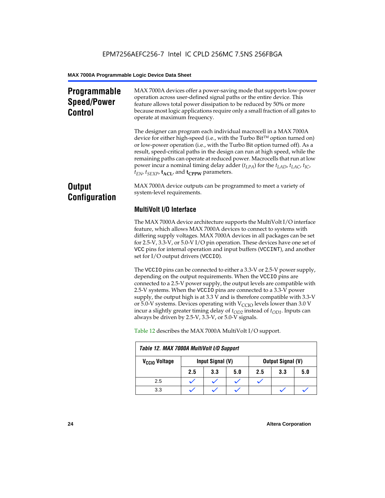# **Programmable Speed/Power Control**

MAX 7000A devices offer a power-saving mode that supports low-power operation across user-defined signal paths or the entire device. This feature allows total power dissipation to be reduced by 50% or more because most logic applications require only a small fraction of all gates to operate at maximum frequency.

The designer can program each individual macrocell in a MAX 7000A device for either high-speed (i.e., with the Turbo  $Bit^{TM}$  option turned on) or low-power operation (i.e., with the Turbo Bit option turned off). As a result, speed-critical paths in the design can run at high speed, while the remaining paths can operate at reduced power. Macrocells that run at low power incur a nominal timing delay adder (*tLPA*) for the *tLAD*, *tLAC*, *tIC*,  $t_{EN}$ ,  $t_{SEXP}$ ,  $t_{ACL}$ , and  $t_{CPPW}$  parameters.

# **Output Configuration**

MAX 7000A device outputs can be programmed to meet a variety of system-level requirements.

# **MultiVolt I/O Interface**

The MAX 7000A device architecture supports the MultiVolt I/O interface feature, which allows MAX 7000A devices to connect to systems with differing supply voltages. MAX 7000A devices in all packages can be set for 2.5-V, 3.3-V, or 5.0-V I/O pin operation. These devices have one set of VCC pins for internal operation and input buffers (VCCINT), and another set for I/O output drivers (VCCIO).

The VCCIO pins can be connected to either a 3.3-V or 2.5-V power supply, depending on the output requirements. When the VCCIO pins are connected to a 2.5-V power supply, the output levels are compatible with 2.5-V systems. When the VCCIO pins are connected to a 3.3-V power supply, the output high is at 3.3 V and is therefore compatible with 3.3-V or 5.0-V systems. Devices operating with  $V_{\text{CCIO}}$  levels lower than 3.0 V incur a slightly greater timing delay of  $t_{OD2}$  instead of  $t_{OD1}$ . Inputs can always be driven by 2.5-V, 3.3-V, or 5.0-V signals.

| Table 12. MAX 7000A MultiVolt I/O Support |                  |     |     |                          |     |     |  |  |
|-------------------------------------------|------------------|-----|-----|--------------------------|-----|-----|--|--|
| V <sub>CCIO</sub> Voltage                 | Input Signal (V) |     |     | <b>Output Signal (V)</b> |     |     |  |  |
|                                           | 2.5              | 3.3 | 5.0 | 2.5                      | 3.3 | 5.0 |  |  |
| 2.5                                       |                  |     |     |                          |     |     |  |  |
| 3.3                                       |                  |     |     |                          |     |     |  |  |

Table 12 describes the MAX 7000A MultiVolt I/O support.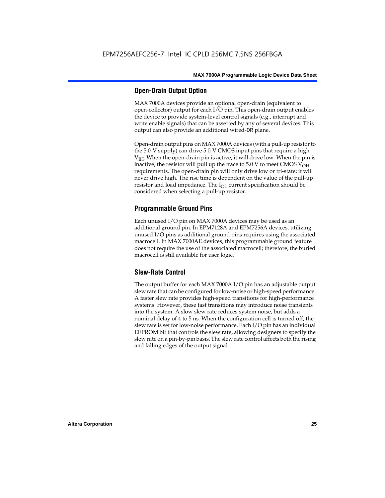# **Open-Drain Output Option**

MAX 7000A devices provide an optional open-drain (equivalent to open-collector) output for each I/O pin. This open-drain output enables the device to provide system-level control signals (e.g., interrupt and write enable signals) that can be asserted by any of several devices. This output can also provide an additional wired-OR plane.

Open-drain output pins on MAX 7000A devices (with a pull-up resistor to the 5.0-V supply) can drive 5.0-V CMOS input pins that require a high  $V<sub>IH</sub>$ . When the open-drain pin is active, it will drive low. When the pin is inactive, the resistor will pull up the trace to  $5.0$  V to meet CMOS V<sub>OH</sub> requirements. The open-drain pin will only drive low or tri-state; it will never drive high. The rise time is dependent on the value of the pull-up resistor and load impedance. The  $I_{OL}$  current specification should be considered when selecting a pull-up resistor.

# **Programmable Ground Pins**

Each unused I/O pin on MAX 7000A devices may be used as an additional ground pin. In EPM7128A and EPM7256A devices, utilizing unused I/O pins as additional ground pins requires using the associated macrocell. In MAX 7000AE devices, this programmable ground feature does not require the use of the associated macrocell; therefore, the buried macrocell is still available for user logic.

# **Slew-Rate Control**

The output buffer for each MAX 7000A I/O pin has an adjustable output slew rate that can be configured for low-noise or high-speed performance. A faster slew rate provides high-speed transitions for high-performance systems. However, these fast transitions may introduce noise transients into the system. A slow slew rate reduces system noise, but adds a nominal delay of 4 to 5 ns. When the configuration cell is turned off, the slew rate is set for low-noise performance. Each I/O pin has an individual EEPROM bit that controls the slew rate, allowing designers to specify the slew rate on a pin-by-pin basis. The slew rate control affects both the rising and falling edges of the output signal.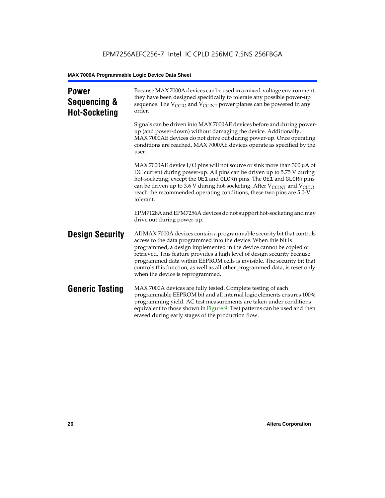| <b>Power</b><br>Sequencing &<br><b>Hot-Socketing</b> | Because MAX 7000A devices can be used in a mixed-voltage environment,<br>they have been designed specifically to tolerate any possible power-up<br>sequence. The $V_{\text{CCIO}}$ and $V_{\text{CCINT}}$ power planes can be powered in any<br>order.                                                                                                                                                                                                                                     |
|------------------------------------------------------|--------------------------------------------------------------------------------------------------------------------------------------------------------------------------------------------------------------------------------------------------------------------------------------------------------------------------------------------------------------------------------------------------------------------------------------------------------------------------------------------|
|                                                      | Signals can be driven into MAX 7000AE devices before and during power-<br>up (and power-down) without damaging the device. Additionally,<br>MAX 7000AE devices do not drive out during power-up. Once operating<br>conditions are reached, MAX 7000AE devices operate as specified by the<br>user.                                                                                                                                                                                         |
|                                                      | MAX 7000AE device I/O pins will not source or sink more than 300 $\mu$ A of<br>DC current during power-up. All pins can be driven up to 5.75 V during<br>hot-socketing, except the OE1 and GLCRn pins. The OE1 and GLCRn pins<br>can be driven up to 3.6 V during hot-socketing. After $V_{\text{CCINT}}$ and $V_{\text{CCIO}}$<br>reach the recommended operating conditions, these two pins are 5.0-V<br>tolerant.                                                                       |
|                                                      | EPM7128A and EPM7256A devices do not support hot-socketing and may<br>drive out during power-up.                                                                                                                                                                                                                                                                                                                                                                                           |
| <b>Design Security</b>                               | All MAX 7000A devices contain a programmable security bit that controls<br>access to the data programmed into the device. When this bit is<br>programmed, a design implemented in the device cannot be copied or<br>retrieved. This feature provides a high level of design security because<br>programmed data within EEPROM cells is invisible. The security bit that<br>controls this function, as well as all other programmed data, is reset only<br>when the device is reprogrammed. |
| <b>Generic Testing</b>                               | MAX 7000A devices are fully tested. Complete testing of each<br>programmable EEPROM bit and all internal logic elements ensures 100%<br>programming yield. AC test measurements are taken under conditions<br>equivalent to those shown in Figure 9. Test patterns can be used and then<br>erased during early stages of the production flow.                                                                                                                                              |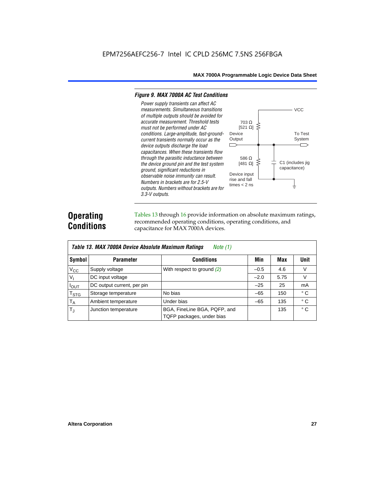#### *Figure 9. MAX 7000A AC Test Conditions*

*3.3-V outputs.*



# **Operating Conditions**

Tables 13 through 16 provide information on absolute maximum ratings, recommended operating conditions, operating conditions, and capacitance for MAX 7000A devices.

| Table 13. MAX 7000A Device Absolute Maximum Ratings<br>Note $(1)$ |                            |                                                           |        |      |              |  |  |  |  |
|-------------------------------------------------------------------|----------------------------|-----------------------------------------------------------|--------|------|--------------|--|--|--|--|
| Symbol                                                            | <b>Parameter</b>           | Conditions                                                | Min    | Max  | Unit         |  |  |  |  |
| $V_{CC}$                                                          | Supply voltage             | With respect to ground (2)                                | $-0.5$ | 4.6  | V            |  |  |  |  |
| V <sub>1</sub>                                                    | DC input voltage           |                                                           | $-2.0$ | 5.75 | $\vee$       |  |  |  |  |
| $I_{OUT}$                                                         | DC output current, per pin |                                                           | $-25$  | 25   | mA           |  |  |  |  |
| $T_{\footnotesize\rm STG}$                                        | Storage temperature        | No bias                                                   | $-65$  | 150  | $^{\circ}$ C |  |  |  |  |
| $T_A$                                                             | Ambient temperature        | Under bias                                                | $-65$  | 135  | $^{\circ}$ C |  |  |  |  |
| $T_{\rm d}$                                                       | Junction temperature       | BGA, FineLine BGA, PQFP, and<br>TQFP packages, under bias |        | 135  | $^{\circ}$ C |  |  |  |  |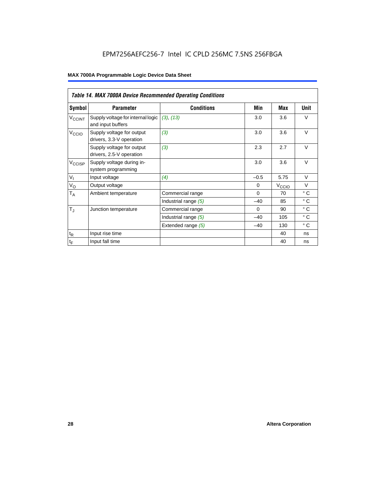# EPM7256AEFC256-7 Intel IC CPLD 256MC 7.5NS 256FBGA

|                          | <b>Table 14. MAX 7000A Device Recommended Operating Conditions</b> |                      |          |                   |              |  |  |  |  |  |
|--------------------------|--------------------------------------------------------------------|----------------------|----------|-------------------|--------------|--|--|--|--|--|
| Symbol                   | <b>Parameter</b>                                                   | <b>Conditions</b>    | Min      | Max               | Unit         |  |  |  |  |  |
| <b>V<sub>CCINT</sub></b> | Supply voltage for internal logic<br>and input buffers             | (3), (13)            | 3.0      | 3.6               | $\vee$       |  |  |  |  |  |
| V <sub>CCIO</sub>        | Supply voltage for output<br>drivers, 3.3-V operation              | (3)                  | 3.0      | 3.6               | $\vee$       |  |  |  |  |  |
|                          | Supply voltage for output<br>drivers, 2.5-V operation              | (3)                  | 2.3      | 2.7               | $\vee$       |  |  |  |  |  |
| $V_{\text{CCISP}}$       | Supply voltage during in-<br>system programming                    |                      | 3.0      | 3.6               | $\vee$       |  |  |  |  |  |
| $V_{I}$                  | Input voltage                                                      | (4)                  | $-0.5$   | 5.75              | $\vee$       |  |  |  |  |  |
| $V_{\rm O}$              | Output voltage                                                     |                      | $\Omega$ | V <sub>ccio</sub> | $\vee$       |  |  |  |  |  |
| $T_A$                    | Ambient temperature                                                | Commercial range     | $\Omega$ | 70                | $^{\circ}$ C |  |  |  |  |  |
|                          |                                                                    | Industrial range (5) | $-40$    | 85                | $^{\circ}$ C |  |  |  |  |  |
| $T_{\rm J}$              | Junction temperature                                               | Commercial range     | $\Omega$ | 90                | $^{\circ}$ C |  |  |  |  |  |
|                          |                                                                    | Industrial range (5) | $-40$    | 105               | $^{\circ}$ C |  |  |  |  |  |
|                          |                                                                    | Extended range (5)   | $-40$    | 130               | $^{\circ}$ C |  |  |  |  |  |
| $t_{\mathsf{R}}$         | Input rise time                                                    |                      |          | 40                | ns           |  |  |  |  |  |
| $t_F$                    | Input fall time                                                    |                      |          | 40                | ns           |  |  |  |  |  |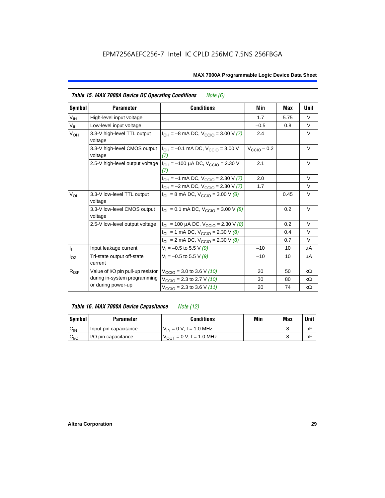|                            | Table 15. MAX 7000A Device DC Operating Conditions<br><i>Note</i> $(6)$ |                                                                             |                         |      |           |  |  |  |  |  |
|----------------------------|-------------------------------------------------------------------------|-----------------------------------------------------------------------------|-------------------------|------|-----------|--|--|--|--|--|
| Symbol                     | <b>Parameter</b>                                                        | <b>Conditions</b>                                                           | Min                     | Max  | Unit      |  |  |  |  |  |
| $\mathsf{V}_{\mathsf{IH}}$ | High-level input voltage                                                |                                                                             | 1.7                     | 5.75 | $\vee$    |  |  |  |  |  |
| $V_{IL}$                   | Low-level input voltage                                                 |                                                                             | $-0.5$                  | 0.8  | V         |  |  |  |  |  |
| $V_{OH}$                   | 3.3-V high-level TTL output<br>voltage                                  | $I_{OH} = -8$ mA DC, $V_{CCIO} = 3.00$ V (7)                                | 2.4                     |      | V         |  |  |  |  |  |
|                            | 3.3-V high-level CMOS output<br>voltage                                 | $I_{OH} = -0.1$ mA DC, $V_{CCD} = 3.00$ V<br>(7)                            | $V_{\text{CCIO}} - 0.2$ |      | $\vee$    |  |  |  |  |  |
|                            | 2.5-V high-level output voltage                                         | 2.1                                                                         |                         | V    |           |  |  |  |  |  |
|                            |                                                                         | $I_{OH} = -1$ mA DC, $V_{CCIO} = 2.30$ V (7)                                | 2.0                     |      | $\vee$    |  |  |  |  |  |
|                            |                                                                         | $I_{OH} = -2$ mA DC, $V_{CCIO} = 2.30$ V (7)                                | 1.7                     |      | $\vee$    |  |  |  |  |  |
| $V_{OL}$                   | 3.3-V low-level TTL output<br>voltage                                   | $I_{\text{OI}}$ = 8 mA DC, $V_{\text{CCl}}$ = 3.00 V (8)                    |                         | 0.45 | $\vee$    |  |  |  |  |  |
|                            | 3.3-V low-level CMOS output<br>voltage                                  | $I_{\text{OI}} = 0.1 \text{ mA DC}$ , $V_{\text{CCl}} = 3.00 \text{ V}$ (8) |                         | 0.2  | V         |  |  |  |  |  |
|                            | 2.5-V low-level output voltage                                          | $I_{OL}$ = 100 µA DC, $V_{CCIO}$ = 2.30 V (8)                               |                         | 0.2  | $\vee$    |  |  |  |  |  |
|                            |                                                                         | $I_{OL}$ = 1 mA DC, $V_{CCIO}$ = 2.30 V (8)                                 |                         | 0.4  | $\vee$    |  |  |  |  |  |
|                            |                                                                         | $I_{OL}$ = 2 mA DC, $V_{CCIO}$ = 2.30 V (8)                                 |                         | 0.7  | $\vee$    |  |  |  |  |  |
| $\mathsf{I}_1$             | Input leakage current                                                   | $V_1 = -0.5$ to 5.5 V (9)                                                   | $-10$                   | 10   | μA        |  |  |  |  |  |
| $I_{OZ}$                   | Tri-state output off-state<br>current                                   | $V_1 = -0.5$ to 5.5 V (9)                                                   | $-10$                   | 10   | μA        |  |  |  |  |  |
| $R_{ISP}$                  | Value of I/O pin pull-up resistor                                       | $V_{\text{CCIO}} = 3.0$ to 3.6 V (10)                                       | 20                      | 50   | $k\Omega$ |  |  |  |  |  |
|                            | during in-system programming                                            | $V_{\text{CCIO}}$ = 2.3 to 2.7 V (10)                                       | 30                      | 80   | $k\Omega$ |  |  |  |  |  |
|                            | or during power-up                                                      | $V_{\text{CCIO}} = 2.3$ to 3.6 V (11)                                       | 20                      | 74   | $k\Omega$ |  |  |  |  |  |

| Table 16. MAX 7000A Device Capacitance | Note (12) |
|----------------------------------------|-----------|
|                                        |           |

| Symbol    | <b>Parameter</b>      | <b>Conditions</b>                   | Min | Max | Unit |
|-----------|-----------------------|-------------------------------------|-----|-----|------|
| $C_{IN}$  | Input pin capacitance | $V_{IN} = 0$ V, f = 1.0 MHz         |     |     | рF   |
| $v_{I/O}$ | I/O pin capacitance   | $V_{\text{OUT}} = 0 V, f = 1.0 MHz$ |     |     | рF   |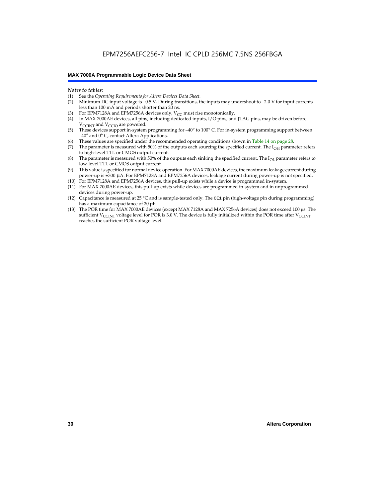#### *Notes to tables:*

- (1) See the *Operating Requirements for Altera Devices Data Sheet.*
- Minimum DC input voltage is –0.5 V. During transitions, the inputs may undershoot to –2.0 V for input currents less than 100 mA and periods shorter than 20 ns.
- (3) For EPM7128A and EPM7256A devices only,  $V_{CC}$  must rise monotonically.
- (4) In MAX 7000AE devices, all pins, including dedicated inputs, I/O pins, and JTAG pins, may be driven before V<sub>CCINT</sub> and V<sub>CCIO</sub> are powered.
- (5) These devices support in-system programming for –40° to 100° C. For in-system programming support between –40° and 0° C, contact Altera Applications.
- (6) These values are specified under the recommended operating conditions shown in Table 14 on page 28.
- (7) The parameter is measured with 50% of the outputs each sourcing the specified current. The  $I_{OH}$  parameter refers to high-level TTL or CMOS output current.
- (8) The parameter is measured with 50% of the outputs each sinking the specified current. The  $I_{OL}$  parameter refers to low-level TTL or CMOS output current.
- (9) This value is specified for normal device operation. For MAX 7000AE devices, the maximum leakage current during power-up is ±300 µA. For EPM7128A and EPM7256A devices, leakage current during power-up is not specified.
- (10) For EPM7128A and EPM7256A devices, this pull-up exists while a device is programmed in-system.
- (11) For MAX 7000AE devices, this pull-up exists while devices are programmed in-system and in unprogrammed devices during power-up.
- (12) Capacitance is measured at 25 °C and is sample-tested only. The OE1 pin (high-voltage pin during programming) has a maximum capacitance of 20 pF.
- (13) The POR time for MAX 7000AE devices (except MAX 7128A and MAX 7256A devices) does not exceed 100 µs. The sufficient V<sub>CCINT</sub> voltage level for POR is 3.0 V. The device is fully initialized within the POR time after V<sub>CCINT</sub> reaches the sufficient POR voltage level.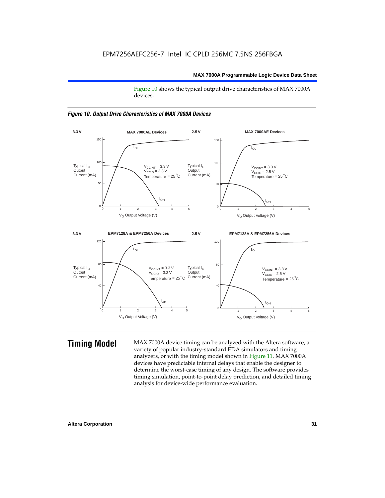Figure 10 shows the typical output drive characteristics of MAX 7000A devices.





**Timing Model** MAX 7000A device timing can be analyzed with the Altera software, a variety of popular industry-standard EDA simulators and timing analyzers, or with the timing model shown in Figure 11. MAX 7000A devices have predictable internal delays that enable the designer to determine the worst-case timing of any design. The software provides timing simulation, point-to-point delay prediction, and detailed timing analysis for device-wide performance evaluation.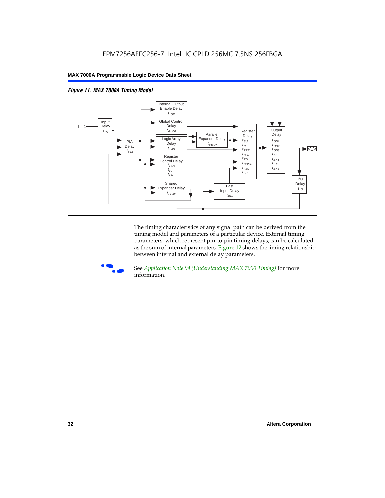



The timing characteristics of any signal path can be derived from the timing model and parameters of a particular device. External timing parameters, which represent pin-to-pin timing delays, can be calculated as the sum of internal parameters. Figure 12 shows the timing relationship between internal and external delay parameters.



f See *Application Note 94 (Understanding MAX 7000 Timing)* for more information.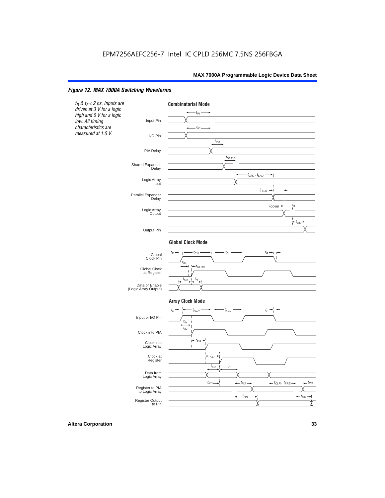### *Figure 12. MAX 7000A Switching Waveforms*

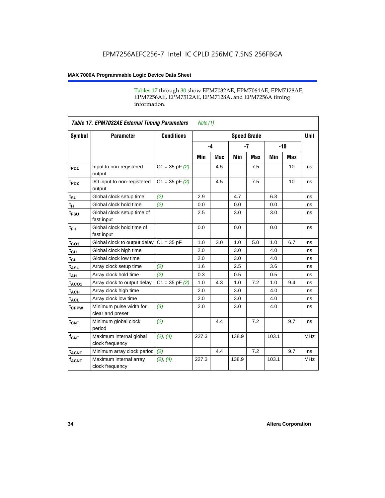Tables 17 through 30 show EPM7032AE, EPM7064AE, EPM7128AE, EPM7256AE, EPM7512AE, EPM7128A, and EPM7256A timing information.

|                  | <b>Table 17. EPM7032AE External Timing Parameters</b><br>Note $(1)$ |                   |       |            |                    |            |       |     |             |  |
|------------------|---------------------------------------------------------------------|-------------------|-------|------------|--------------------|------------|-------|-----|-------------|--|
| Symbol           | <b>Parameter</b>                                                    | <b>Conditions</b> |       |            | <b>Speed Grade</b> |            |       |     | <b>Unit</b> |  |
|                  |                                                                     |                   | $-4$  |            | $-7$               |            | $-10$ |     |             |  |
|                  |                                                                     |                   | Min   | <b>Max</b> | Min                | <b>Max</b> | Min   | Max |             |  |
| t <sub>PD1</sub> | Input to non-registered<br>output                                   | $C1 = 35 pF(2)$   |       | 4.5        |                    | 7.5        |       | 10  | ns          |  |
| t <sub>PD2</sub> | I/O input to non-registered<br>output                               | $C1 = 35 pF(2)$   |       | 4.5        |                    | 7.5        |       | 10  | ns          |  |
| $t_{\text{SU}}$  | Global clock setup time                                             | (2)               | 2.9   |            | 4.7                |            | 6.3   |     | ns          |  |
| $t_H$            | Global clock hold time                                              | (2)               | 0.0   |            | 0.0                |            | 0.0   |     | ns          |  |
| t <sub>FSU</sub> | Global clock setup time of<br>fast input                            |                   | 2.5   |            | 3.0                |            | 3.0   |     | ns          |  |
| $t_{FH}$         | Global clock hold time of<br>fast input                             |                   | 0.0   |            | 0.0                |            | 0.0   |     | ns          |  |
| $t_{CO1}$        | Global clock to output delay                                        | $C1 = 35 pF$      | 1.0   | 3.0        | 1.0                | 5.0        | 1.0   | 6.7 | ns          |  |
| $t_{CH}$         | Global clock high time                                              |                   | 2.0   |            | 3.0                |            | 4.0   |     | ns          |  |
| $t_{CL}$         | Global clock low time                                               |                   | 2.0   |            | 3.0                |            | 4.0   |     | ns          |  |
| $t_{ASU}$        | Array clock setup time                                              | (2)               | 1.6   |            | 2.5                |            | 3.6   |     | ns          |  |
| t <sub>AH</sub>  | Array clock hold time                                               | (2)               | 0.3   |            | 0.5                |            | 0.5   |     | ns          |  |
| $t_{ACO1}$       | Array clock to output delay                                         | $C1 = 35 pF(2)$   | 1.0   | 4.3        | 1.0                | 7.2        | 1.0   | 9.4 | ns          |  |
| $t_{ACH}$        | Array clock high time                                               |                   | 2.0   |            | 3.0                |            | 4.0   |     | ns          |  |
| $t_{ACL}$        | Array clock low time                                                |                   | 2.0   |            | 3.0                |            | 4.0   |     | ns          |  |
| tcppw            | Minimum pulse width for<br>clear and preset                         | (3)               | 2.0   |            | 3.0                |            | 4.0   |     | ns          |  |
| $t_{\text{CNT}}$ | Minimum global clock<br>period                                      | (2)               |       | 4.4        |                    | 7.2        |       | 9.7 | ns          |  |
| $f_{CNT}$        | Maximum internal global<br>clock frequency                          | (2), (4)          | 227.3 |            | 138.9              |            | 103.1 |     | <b>MHz</b>  |  |
| $t_{ACNT}$       | Minimum array clock period                                          | (2)               |       | 4.4        |                    | 7.2        |       | 9.7 | ns          |  |
| <b>fACNT</b>     | Maximum internal array<br>clock frequency                           | (2), (4)          | 227.3 |            | 138.9              |            | 103.1 |     | <b>MHz</b>  |  |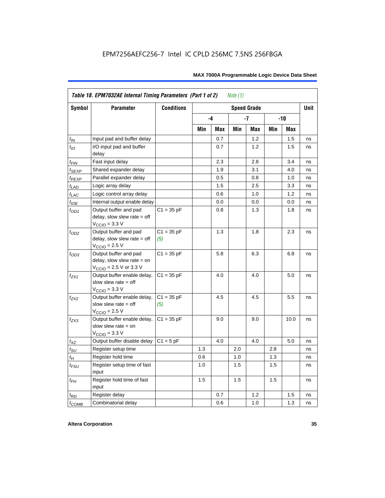|                   | Table 18. EPM7032AE Internal Timing Parameters (Part 1 of 2)<br>Note $(1)$                                   |                     |     |      |     |                    |       |      |             |
|-------------------|--------------------------------------------------------------------------------------------------------------|---------------------|-----|------|-----|--------------------|-------|------|-------------|
| <b>Symbol</b>     | <b>Parameter</b>                                                                                             | <b>Conditions</b>   |     |      |     | <b>Speed Grade</b> |       |      | <b>Unit</b> |
|                   |                                                                                                              |                     |     | $-4$ |     | -7                 | $-10$ |      |             |
|                   |                                                                                                              |                     | Min | Max  | Min | Max                | Min   | Max  |             |
| $t_{IN}$          | Input pad and buffer delay                                                                                   |                     |     | 0.7  |     | 1.2                |       | 1.5  | ns          |
| $t_{IO}$          | I/O input pad and buffer<br>delay                                                                            |                     |     | 0.7  |     | 1.2                |       | 1.5  | ns          |
| $t_{\sf FIN}$     | Fast input delay                                                                                             |                     |     | 2.3  |     | 2.8                |       | 3.4  | ns          |
| $t_{SEXP}$        | Shared expander delay                                                                                        |                     |     | 1.9  |     | 3.1                |       | 4.0  | ns          |
| t <sub>PEXP</sub> | Parallel expander delay                                                                                      |                     |     | 0.5  |     | 0.8                |       | 1.0  | ns          |
| $t_{LAD}$         | Logic array delay                                                                                            |                     |     | 1.5  |     | 2.5                |       | 3.3  | ns          |
| $t_{LAC}$         | Logic control array delay                                                                                    |                     |     | 0.6  |     | 1.0                |       | 1.2  | ns          |
| $t_{IOE}$         | Internal output enable delay                                                                                 |                     |     | 0.0  |     | 0.0                |       | 0.0  | ns          |
| $t_{OD1}$         | Output buffer and pad<br>delay, slow slew rate $=$ off<br>$V_{\text{CCIO}} = 3.3 \text{ V}$                  | $C1 = 35 pF$        |     | 0.8  |     | 1.3                |       | 1.8  | ns          |
| $t_{OD2}$         | Output buffer and pad<br>delay, slow slew rate $=$ off<br>$VCCIO = 2.5 V$                                    | $C1 = 35 pF$<br>(5) |     | 1.3  |     | 1.8                |       | 2.3  | ns          |
| $t_{OD3}$         | Output buffer and pad<br>delay, slow slew rate $=$ on<br>$V_{\text{CCIO}} = 2.5 \text{ V or } 3.3 \text{ V}$ | $C1 = 35 pF$        |     | 5.8  |     | 6.3                |       | 6.8  | ns          |
| $t_{ZX1}$         | Output buffer enable delay,<br>slow slew rate $=$ off<br>$V_{\text{CCIO}} = 3.3 \text{ V}$                   | $C1 = 35 pF$        |     | 4.0  |     | 4.0                |       | 5.0  | ns          |
| $t_{ZX2}$         | Output buffer enable delay,<br>slow slew rate $=$ off<br>$V_{\text{CCIO}}$ = 2.5 V                           | $C1 = 35 pF$<br>(5) |     | 4.5  |     | 4.5                |       | 5.5  | ns          |
| $t_{ZX3}$         | Output buffer enable delay,<br>slow slew rate $=$ on<br>$V_{\text{CCIO}} = 3.3 \text{ V}$                    | $C1 = 35 pF$        |     | 9.0  |     | 9.0                |       | 10.0 | ns          |
| $t_{XZ}$          | Output buffer disable delay                                                                                  | $C1 = 5pF$          |     | 4.0  |     | 4.0                |       | 5.0  | ns          |
| $t_{\text{SU}}$   | Register setup time                                                                                          |                     | 1.3 |      | 2.0 |                    | 2.8   |      | ns          |
| $t_H$             | Register hold time                                                                                           |                     | 0.6 |      | 1.0 |                    | 1.3   |      | ns          |
| $t_{FSU}$         | Register setup time of fast<br>input                                                                         |                     | 1.0 |      | 1.5 |                    | 1.5   |      | ns          |
| $t_{FH}$          | Register hold time of fast<br>input                                                                          |                     | 1.5 |      | 1.5 |                    | 1.5   |      | ns          |
| $t_{RD}$          | Register delay                                                                                               |                     |     | 0.7  |     | 1.2                |       | 1.5  | ns          |
| $t_{COMB}$        | Combinatorial delay                                                                                          |                     |     | 0.6  |     | 1.0                |       | 1.3  | ns          |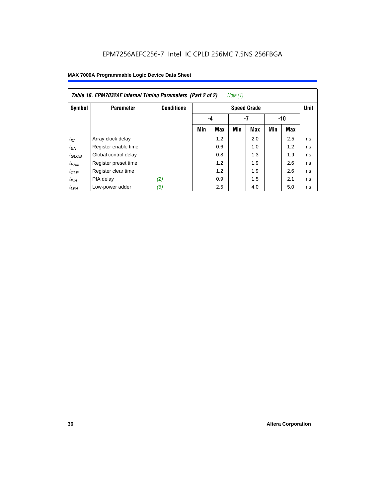|                  | Table 18. EPM7032AE Internal Timing Parameters (Part 2 of 2)<br>Note (1) |                   |     |                    |     |     |     |     |    |
|------------------|--------------------------------------------------------------------------|-------------------|-----|--------------------|-----|-----|-----|-----|----|
| Symbol           | <b>Parameter</b>                                                         | <b>Conditions</b> |     | <b>Speed Grade</b> |     |     |     |     |    |
|                  |                                                                          |                   |     | -4                 |     | -7  | -10 |     |    |
|                  |                                                                          |                   | Min | Max                | Min | Max | Min | Max |    |
| $t_{IC}$         | Array clock delay                                                        |                   |     | 1.2                |     | 2.0 |     | 2.5 | ns |
| $t_{EN}$         | Register enable time                                                     |                   |     | 0.6                |     | 1.0 |     | 1.2 | ns |
| $t_{GLOB}$       | Global control delay                                                     |                   |     | 0.8                |     | 1.3 |     | 1.9 | ns |
| $t_{PRE}$        | Register preset time                                                     |                   |     | 1.2                |     | 1.9 |     | 2.6 | ns |
| $t_{CLR}$        | Register clear time                                                      |                   |     | 1.2                |     | 1.9 |     | 2.6 | ns |
| t <sub>PIA</sub> | PIA delay                                                                | (2)               |     | 0.9                |     | 1.5 |     | 2.1 | ns |
| $t_{LPA}$        | Low-power adder                                                          | (6)               |     | 2.5                |     | 4.0 |     | 5.0 | ns |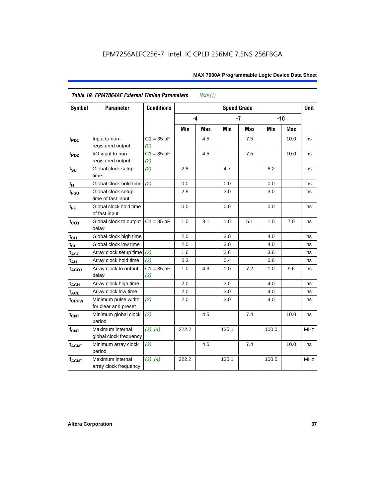| <b>Symbol</b>               | <b>Parameter</b>                            | <b>Conditions</b>   | <b>Speed Grade</b> |     |       |            |       |       |            |
|-----------------------------|---------------------------------------------|---------------------|--------------------|-----|-------|------------|-------|-------|------------|
|                             |                                             |                     | -4                 |     |       | $-7$       |       | $-10$ |            |
|                             |                                             |                     | Min                | Max | Min   | <b>Max</b> | Min   | Max   |            |
| $t_{PD1}$                   | Input to non-<br>registered output          | $C1 = 35 pF$<br>(2) |                    | 4.5 |       | 7.5        |       | 10.0  | ns         |
| $t_{PD2}$                   | I/O input to non-<br>registered output      | $C1 = 35 pF$<br>(2) |                    | 4.5 |       | 7.5        |       | 10.0  | ns         |
| $t_{\scriptstyle\text{SU}}$ | Global clock setup<br>time                  | (2)                 | 2.8                |     | 4.7   |            | 6.2   |       | ns         |
| $t_H$                       | Global clock hold time                      | (2)                 | 0.0                |     | 0.0   |            | 0.0   |       | ns         |
| t <sub>FSU</sub>            | Global clock setup<br>time of fast input    |                     | 2.5                |     | 3.0   |            | 3.0   |       | ns         |
| $t_{FH}$                    | Global clock hold time<br>of fast input     |                     | 0.0                |     | 0.0   |            | 0.0   |       | ns         |
| $t_{CO1}$                   | Global clock to output<br>delay             | $C1 = 35 pF$        | 1.0                | 3.1 | 1.0   | 5.1        | 1.0   | 7.0   | ns         |
| $t_{CH}$                    | Global clock high time                      |                     | 2.0                |     | 3.0   |            | 4.0   |       | ns         |
| $t_{CL}$                    | Global clock low time                       |                     | 2.0                |     | 3.0   |            | 4.0   |       | ns         |
| t <sub>ASU</sub>            | Array clock setup time                      | (2)                 | 1.6                |     | 2.6   |            | 3.6   |       | ns         |
| $t_{AH}$                    | Array clock hold time                       | (2)                 | 0.3                |     | 0.4   |            | 0.6   |       | ns         |
| $t_{ACO1}$                  | Array clock to output<br>delay              | $C1 = 35 pF$<br>(2) | 1.0                | 4.3 | 1.0   | 7.2        | 1.0   | 9.6   | ns         |
| $t_{ACH}$                   | Array clock high time                       |                     | 2.0                |     | 3.0   |            | 4.0   |       | ns         |
| t <sub>ACL</sub>            | Array clock low time                        |                     | 2.0                |     | 3.0   |            | 4.0   |       | ns         |
| t <sub>CPPW</sub>           | Minimum pulse width<br>for clear and preset | (3)                 | 2.0                |     | 3.0   |            | 4.0   |       | ns         |
| $t_{\text{CNT}}$            | Minimum global clock<br>period              | (2)                 |                    | 4.5 |       | 7.4        |       | 10.0  | ns         |
| $f_{CNT}$                   | Maximum internal<br>global clock frequency  | (2), (4)            | 222.2              |     | 135.1 |            | 100.0 |       | <b>MHz</b> |
| $t_{ACNT}$                  | Minimum array clock<br>period               | (2)                 |                    | 4.5 |       | 7.4        |       | 10.0  | ns         |
| <b>fACNT</b>                | Maximum internal<br>array clock frequency   | (2), (4)            | 222.2              |     | 135.1 |            | 100.0 |       | <b>MHz</b> |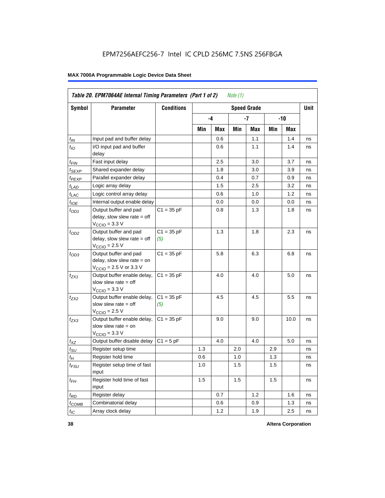|                   | Table 20. EPM7064AE Internal Timing Parameters (Part 1 of 2)<br><i>Note</i> $(1)$                            |                     |     |      |     |                    |     |       |      |  |  |  |
|-------------------|--------------------------------------------------------------------------------------------------------------|---------------------|-----|------|-----|--------------------|-----|-------|------|--|--|--|
| Symbol            | <b>Parameter</b>                                                                                             | <b>Conditions</b>   |     |      |     | <b>Speed Grade</b> |     |       | Unit |  |  |  |
|                   |                                                                                                              |                     |     | $-4$ |     | -7                 |     | $-10$ |      |  |  |  |
|                   |                                                                                                              |                     | Min | Max  | Min | Max                | Min | Max   |      |  |  |  |
| $t_{IN}$          | Input pad and buffer delay                                                                                   |                     |     | 0.6  |     | 1.1                |     | 1.4   | ns   |  |  |  |
| $t_{IO}$          | I/O input pad and buffer<br>delay                                                                            |                     |     | 0.6  |     | 1.1                |     | 1.4   | ns   |  |  |  |
| $t_{FIN}$         | Fast input delay                                                                                             |                     |     | 2.5  |     | 3.0                |     | 3.7   | ns   |  |  |  |
| t <sub>SEXP</sub> | Shared expander delay                                                                                        |                     |     | 1.8  |     | 3.0                |     | 3.9   | ns   |  |  |  |
| t <sub>PEXP</sub> | Parallel expander delay                                                                                      |                     |     | 0.4  |     | 0.7                |     | 0.9   | ns   |  |  |  |
| $t_{LAD}$         | Logic array delay                                                                                            |                     |     | 1.5  |     | 2.5                |     | 3.2   | ns   |  |  |  |
| $t_{LAC}$         | Logic control array delay                                                                                    |                     |     | 0.6  |     | 1.0                |     | 1.2   | ns   |  |  |  |
| $t_{IOE}$         | Internal output enable delay                                                                                 |                     |     | 0.0  |     | 0.0                |     | 0.0   | ns   |  |  |  |
| $t_{OD1}$         | Output buffer and pad<br>delay, slow slew rate $=$ off<br>$V_{\text{CCIO}} = 3.3 \text{ V}$                  | $C1 = 35 pF$        |     | 0.8  |     | 1.3                |     | 1.8   | ns   |  |  |  |
| $t_{OD2}$         | Output buffer and pad<br>delay, slow slew rate $=$ off<br>$V_{\text{CCIO}}$ = 2.5 V                          | $C1 = 35 pF$<br>(5) |     | 1.3  |     | 1.8                |     | 2.3   | ns   |  |  |  |
| $t_{OD3}$         | Output buffer and pad<br>delay, slow slew rate $=$ on<br>$V_{\text{CCIO}} = 2.5 \text{ V or } 3.3 \text{ V}$ | $C1 = 35 pF$        |     | 5.8  |     | 6.3                |     | 6.8   | ns   |  |  |  |
| $t_{ZX1}$         | Output buffer enable delay,<br>slow slew rate $=$ off<br>$V_{\text{CCIO}} = 3.3 \text{ V}$                   | $C1 = 35 pF$        |     | 4.0  |     | 4.0                |     | 5.0   | ns   |  |  |  |
| $t_{ZX2}$         | Output buffer enable delay,<br>slow slew rate $=$ off<br>$V_{\text{CCIO}}$ = 2.5 V                           | $C1 = 35 pF$<br>(5) |     | 4.5  |     | 4.5                |     | 5.5   | ns   |  |  |  |
| $t_{ZX3}$         | Output buffer enable delay,<br>slow slew rate $=$ on<br>$V_{\text{CCIO}} = 3.3 \text{ V}$                    | $C1 = 35 pF$        |     | 9.0  |     | 9.0                |     | 10.0  | ns   |  |  |  |
| $t_{XZ}$          | Output buffer disable delay                                                                                  | $C1 = 5pF$          |     | 4.0  |     | 4.0                |     | 5.0   | ns   |  |  |  |
| $t_{\text{SU}}$   | Register setup time                                                                                          |                     | 1.3 |      | 2.0 |                    | 2.9 |       | ns   |  |  |  |
| $t_H$             | Register hold time                                                                                           |                     | 0.6 |      | 1.0 |                    | 1.3 |       | ns   |  |  |  |
| $t_{FSU}$         | Register setup time of fast<br>input                                                                         |                     | 1.0 |      | 1.5 |                    | 1.5 |       | ns   |  |  |  |
| $t_{FH}$          | Register hold time of fast<br>input                                                                          |                     | 1.5 |      | 1.5 |                    | 1.5 |       | ns   |  |  |  |
| $t_{RD}$          | Register delay                                                                                               |                     |     | 0.7  |     | 1.2                |     | 1.6   | ns   |  |  |  |
| $t_{COMB}$        | Combinatorial delay                                                                                          |                     |     | 0.6  |     | 0.9                |     | 1.3   | ns   |  |  |  |
| $t_{IC}$          | Array clock delay                                                                                            |                     |     | 1.2  |     | 1.9                |     | 2.5   | ns   |  |  |  |

**38 Altera Corporation**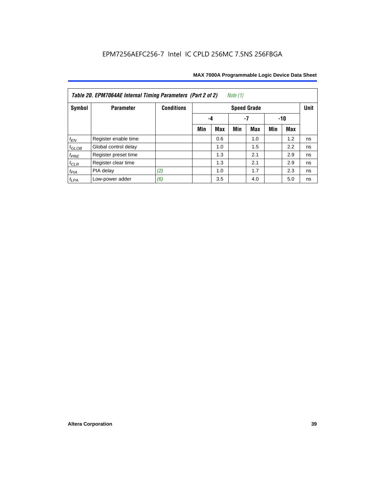| Note $(1)$<br>Table 20. EPM7064AE Internal Timing Parameters (Part 2 of 2) |                      |                   |     |                 |     |                    |     |     |             |  |  |  |
|----------------------------------------------------------------------------|----------------------|-------------------|-----|-----------------|-----|--------------------|-----|-----|-------------|--|--|--|
| Symbol                                                                     | <b>Parameter</b>     | <b>Conditions</b> |     |                 |     | <b>Speed Grade</b> |     |     | <b>Unit</b> |  |  |  |
|                                                                            |                      |                   |     | -7<br>-10<br>-4 |     |                    |     |     |             |  |  |  |
|                                                                            |                      |                   | Min | Max             | Min | <b>Max</b>         | Min | Max |             |  |  |  |
| $t_{EN}$                                                                   | Register enable time |                   |     | 0.6             |     | 1.0                |     | 1.2 | ns          |  |  |  |
| $t_{\text{GLOB}}$                                                          | Global control delay |                   |     | 1.0             |     | 1.5                |     | 2.2 | ns          |  |  |  |
| $t_{PRE}$                                                                  | Register preset time |                   |     | 1.3             |     | 2.1                |     | 2.9 | ns          |  |  |  |
| $t_{CLR}$                                                                  | Register clear time  |                   |     | 1.3             |     | 2.1                |     | 2.9 | ns          |  |  |  |
| $t_{PIA}$                                                                  | PIA delay            | (2)               |     | 1.0             |     | 1.7                |     | 2.3 | ns          |  |  |  |
| $t_{LPA}$                                                                  | Low-power adder      | (6)               |     | 3.5             |     | 4.0                |     | 5.0 | ns          |  |  |  |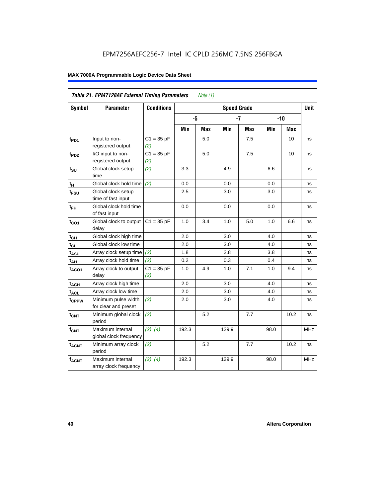|                       | Table 21. EPM7128AE External Timing Parameters<br>Note (1) |                     |       |            |                    |            |      |            |            |  |  |  |
|-----------------------|------------------------------------------------------------|---------------------|-------|------------|--------------------|------------|------|------------|------------|--|--|--|
| Symbol                | <b>Parameter</b>                                           | <b>Conditions</b>   |       |            | <b>Speed Grade</b> |            |      |            | Unit       |  |  |  |
|                       |                                                            |                     | -5    |            |                    | $-7$       |      | $-10$      |            |  |  |  |
|                       |                                                            |                     | Min   | <b>Max</b> | Min                | <b>Max</b> | Min  | <b>Max</b> |            |  |  |  |
| $t_{PD1}$             | Input to non-<br>registered output                         | $C1 = 35 pF$<br>(2) |       | 5.0        |                    | 7.5        |      | 10         | ns         |  |  |  |
| t <sub>PD2</sub>      | I/O input to non-<br>registered output                     | $C1 = 35 pF$<br>(2) |       | 5.0        |                    | 7.5        |      | 10         | ns         |  |  |  |
| $t_{\text{SU}}$       | Global clock setup<br>time                                 | (2)                 | 3.3   |            | 4.9                |            | 6.6  |            | ns         |  |  |  |
| $t_H$                 | Global clock hold time                                     | (2)                 | 0.0   |            | 0.0                |            | 0.0  |            | ns         |  |  |  |
| t <sub>FSU</sub>      | Global clock setup<br>time of fast input                   |                     | 2.5   |            | 3.0                |            | 3.0  |            | ns         |  |  |  |
| $t_{FH}$              | Global clock hold time<br>of fast input                    |                     | 0.0   |            | 0.0                |            | 0.0  |            | ns         |  |  |  |
| $t_{CO1}$             | Global clock to output<br>delay                            | $C1 = 35 pF$        | 1.0   | 3.4        | 1.0                | 5.0        | 1.0  | 6.6        | ns         |  |  |  |
| $t_{CH}$              | Global clock high time                                     |                     | 2.0   |            | 3.0                |            | 4.0  |            | ns         |  |  |  |
| $t_{CL}$              | Global clock low time                                      |                     | 2.0   |            | 3.0                |            | 4.0  |            | ns         |  |  |  |
| $t_{A\underline{SU}}$ | Array clock setup time                                     | (2)                 | 1.8   |            | 2.8                |            | 3.8  |            | ns         |  |  |  |
| t <sub>AH</sub>       | Array clock hold time                                      | (2)                 | 0.2   |            | 0.3                |            | 0.4  |            | ns         |  |  |  |
| $t_{ACO1}$            | Array clock to output<br>delay                             | $C1 = 35 pF$<br>(2) | 1.0   | 4.9        | 1.0                | 7.1        | 1.0  | 9.4        | ns         |  |  |  |
| $t_{ACH}$             | Array clock high time                                      |                     | 2.0   |            | 3.0                |            | 4.0  |            | ns         |  |  |  |
| $t_{\sf ACL}$         | Array clock low time                                       |                     | 2.0   |            | 3.0                |            | 4.0  |            | ns         |  |  |  |
| t <sub>CPPW</sub>     | Minimum pulse width<br>for clear and preset                | (3)                 | 2.0   |            | 3.0                |            | 4.0  |            | ns         |  |  |  |
| $t_{CNT}$             | Minimum global clock<br>period                             | (2)                 |       | 5.2        |                    | 7.7        |      | 10.2       | ns         |  |  |  |
| $f_{CNT}$             | Maximum internal<br>global clock frequency                 | (2), (4)            | 192.3 |            | 129.9              |            | 98.0 |            | <b>MHz</b> |  |  |  |
| $t_{ACNT}$            | Minimum array clock<br>period                              | (2)                 |       | 5.2        |                    | 7.7        |      | 10.2       | ns         |  |  |  |
| <b>fACNT</b>          | Maximum internal<br>array clock frequency                  | (2), (4)            | 192.3 |            | 129.9              |            | 98.0 |            | <b>MHz</b> |  |  |  |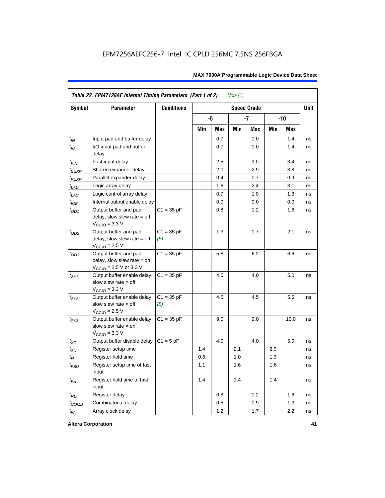| Table 22. EPM7128AE Internal Timing Parameters (Part 1 of 2)<br>Note $(1)$ |                                                                                                              |                     |     |     |     |                    |     |            |             |  |  |
|----------------------------------------------------------------------------|--------------------------------------------------------------------------------------------------------------|---------------------|-----|-----|-----|--------------------|-----|------------|-------------|--|--|
| Symbol                                                                     | <b>Parameter</b>                                                                                             | <b>Conditions</b>   |     |     |     | <b>Speed Grade</b> |     |            | <b>Unit</b> |  |  |
|                                                                            |                                                                                                              |                     |     | -5  |     | $-7$               |     | $-10$      |             |  |  |
|                                                                            |                                                                                                              |                     | Min | Max | Min | Max                | Min | <b>Max</b> |             |  |  |
| $t_{IN}$                                                                   | Input pad and buffer delay                                                                                   |                     |     | 0.7 |     | 1.0                |     | 1.4        | ns          |  |  |
| $t_{IO}$                                                                   | I/O input pad and buffer<br>delay                                                                            |                     |     | 0.7 |     | 1.0                |     | 1.4        | ns          |  |  |
| $t_{FIN}$                                                                  | Fast input delay                                                                                             |                     |     | 2.5 |     | 3.0                |     | 3.4        | ns          |  |  |
| t <sub>SEXP</sub>                                                          | Shared expander delay                                                                                        |                     |     | 2.0 |     | 2.9                |     | 3.8        | ns          |  |  |
| $t_{PEXP}$                                                                 | Parallel expander delay                                                                                      |                     |     | 0.4 |     | 0.7                |     | 0.9        | ns          |  |  |
| $t_{LAD}$                                                                  | Logic array delay                                                                                            |                     |     | 1.6 |     | 2.4                |     | 3.1        | ns          |  |  |
| $t_{LAC}$                                                                  | Logic control array delay                                                                                    |                     |     | 0.7 |     | 1.0                |     | 1.3        | ns          |  |  |
| $t_{IOE}$                                                                  | Internal output enable delay                                                                                 |                     |     | 0.0 |     | 0.0                |     | 0.0        | ns          |  |  |
| $t_{OD1}$                                                                  | Output buffer and pad<br>delay, slow slew rate $=$ off<br>$V_{\text{CCIO}} = 3.3 \text{ V}$                  | $C1 = 35 pF$        |     | 0.8 |     | 1.2                |     | 1.6        | ns          |  |  |
| $t_{OD2}$                                                                  | Output buffer and pad<br>delay, slow slew rate $=$ off<br>$V_{\text{CCIO}}$ = 2.5 V                          | $C1 = 35 pF$<br>(5) |     | 1.3 |     | 1.7                |     | 2.1        | ns          |  |  |
| $t_{OD3}$                                                                  | Output buffer and pad<br>delay, slow slew rate $=$ on<br>$V_{\text{CCIO}} = 2.5 \text{ V or } 3.3 \text{ V}$ | $C1 = 35 pF$        |     | 5.8 |     | 6.2                |     | 6.6        | ns          |  |  |
| $t_{ZX1}$                                                                  | Output buffer enable delay,<br>slow slew rate $=$ off<br>$V_{\text{CCIO}} = 3.3 \text{ V}$                   | $C1 = 35 pF$        |     | 4.0 |     | 4.0                |     | 5.0        | ns          |  |  |
| $t_{ZX2}$                                                                  | Output buffer enable delay,<br>slow slew rate $=$ off<br>$VCCIO = 2.5 V$                                     | $C1 = 35 pF$<br>(5) |     | 4.5 |     | 4.5                |     | 5.5        | ns          |  |  |
| $t_{ZX3}$                                                                  | Output buffer enable delay,<br>slow slew rate $=$ on<br>$V_{\text{CCIO}} = 3.3 \text{ V}$                    | $C1 = 35 pF$        |     | 9.0 |     | 9.0                |     | 10.0       | ns          |  |  |
| $t_{XZ}$                                                                   | Output buffer disable delay                                                                                  | $C1 = 5pF$          |     | 4.0 |     | 4.0                |     | 5.0        | ns          |  |  |
| $t_{\text{SU}}$                                                            | Register setup time                                                                                          |                     | 1.4 |     | 2.1 |                    | 2.9 |            | ns          |  |  |
| $t_H$                                                                      | Register hold time                                                                                           |                     | 0.6 |     | 1.0 |                    | 1.3 |            | ns          |  |  |
| $t_{FSU}$                                                                  | Register setup time of fast<br>input                                                                         |                     | 1.1 |     | 1.6 |                    | 1.6 |            | ns          |  |  |
| $t_{FH}$                                                                   | Register hold time of fast<br>input                                                                          |                     | 1.4 |     | 1.4 |                    | 1.4 |            | ns          |  |  |
| $t_{RD}$                                                                   | Register delay                                                                                               |                     |     | 0.8 |     | 1.2                |     | 1.6        | ns          |  |  |
| $t_{COMB}$                                                                 | Combinatorial delay                                                                                          |                     |     | 0.5 |     | 0.9                |     | 1.3        | ns          |  |  |
| $t_{IC}$                                                                   | Array clock delay                                                                                            |                     |     | 1.2 |     | 1.7                |     | 2.2        | ns          |  |  |

**Altera Corporation 41**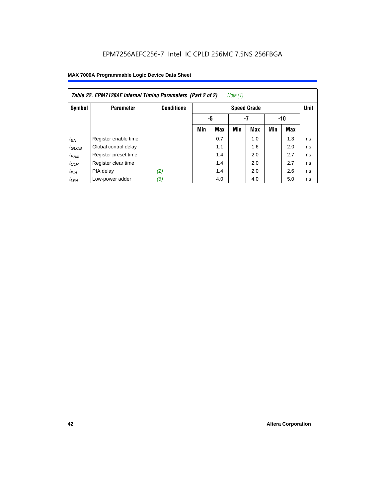| Note (1)<br>Table 22. EPM7128AE Internal Timing Parameters (Part 2 of 2) |                      |                   |     |                   |     |                    |     |            |             |  |  |
|--------------------------------------------------------------------------|----------------------|-------------------|-----|-------------------|-----|--------------------|-----|------------|-------------|--|--|
| Symbol                                                                   | <b>Parameter</b>     | <b>Conditions</b> |     |                   |     | <b>Speed Grade</b> |     |            | <b>Unit</b> |  |  |
|                                                                          |                      |                   |     | -5<br>$-7$<br>-10 |     |                    |     |            |             |  |  |
|                                                                          |                      |                   | Min | <b>Max</b>        | Min | <b>Max</b>         | Min | <b>Max</b> |             |  |  |
| $t_{EN}$                                                                 | Register enable time |                   |     | 0.7               |     | 1.0                |     | 1.3        | ns          |  |  |
| $t_{GLOB}$                                                               | Global control delay |                   |     | 1.1               |     | 1.6                |     | 2.0        | ns          |  |  |
| $t_{PRE}$                                                                | Register preset time |                   |     | 1.4               |     | 2.0                |     | 2.7        | ns          |  |  |
| $t_{CLR}$                                                                | Register clear time  |                   |     | 1.4               |     | 2.0                |     | 2.7        | ns          |  |  |
| t <sub>PIA</sub>                                                         | PIA delay            | (2)               |     | 1.4               |     | 2.0                |     | 2.6        | ns          |  |  |
| $t_{LPA}$                                                                | Low-power adder      | (6)               |     | 4.0               |     | 4.0                |     | 5.0        | ns          |  |  |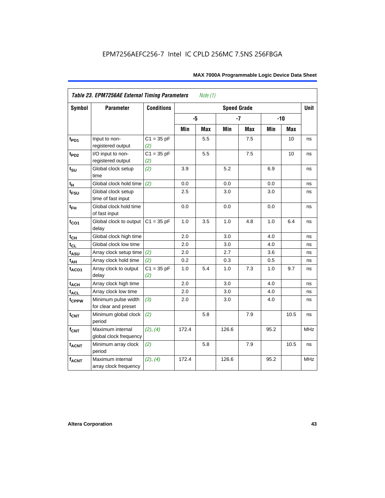|                   | Table 23. EPM7256AE External Timing Parameters |                     |       | <i>Note</i> $(1)$ |                    |            |      |       |             |
|-------------------|------------------------------------------------|---------------------|-------|-------------------|--------------------|------------|------|-------|-------------|
| Symbol            | <b>Parameter</b>                               | <b>Conditions</b>   |       |                   | <b>Speed Grade</b> |            |      |       | <b>Unit</b> |
|                   |                                                |                     | -5    |                   |                    | $-7$       |      | $-10$ |             |
|                   |                                                |                     | Min   | <b>Max</b>        | Min                | <b>Max</b> | Min  | Max   |             |
| $t_{PD1}$         | Input to non-<br>registered output             | $C1 = 35 pF$<br>(2) |       | 5.5               |                    | 7.5        |      | 10    | ns          |
| t <sub>PD2</sub>  | I/O input to non-<br>registered output         | $C1 = 35 pF$<br>(2) |       | 5.5               |                    | 7.5        |      | 10    | ns          |
| $t_{\text{SU}}$   | Global clock setup<br>time                     | (2)                 | 3.9   |                   | 5.2                |            | 6.9  |       | ns          |
| $t_H$             | Global clock hold time                         | (2)                 | 0.0   |                   | 0.0                |            | 0.0  |       | ns          |
| $t_{\text{FSU}}$  | Global clock setup<br>time of fast input       |                     | 2.5   |                   | 3.0                |            | 3.0  |       | ns          |
| $t_{FH}$          | Global clock hold time<br>of fast input        |                     | 0.0   |                   | 0.0                |            | 0.0  |       | ns          |
| $t_{CO1}$         | Global clock to output<br>delay                | $C1 = 35 pF$        | 1.0   | 3.5               | 1.0                | 4.8        | 1.0  | 6.4   | ns          |
| $t_{CH}$          | Global clock high time                         |                     | 2.0   |                   | 3.0                |            | 4.0  |       | ns          |
| $t_{CL}$          | Global clock low time                          |                     | 2.0   |                   | 3.0                |            | 4.0  |       | ns          |
| t <sub>ASU</sub>  | Array clock setup time                         | (2)                 | 2.0   |                   | 2.7                |            | 3.6  |       | ns          |
| $t_{AH}$          | Array clock hold time                          | (2)                 | 0.2   |                   | 0.3                |            | 0.5  |       | ns          |
| $t_{ACO1}$        | Array clock to output<br>delay                 | $C1 = 35 pF$<br>(2) | 1.0   | 5.4               | 1.0                | 7.3        | 1.0  | 9.7   | ns          |
| $t_{ACH}$         | Array clock high time                          |                     | 2.0   |                   | 3.0                |            | 4.0  |       | ns          |
| $t_{\sf ACL}$     | Array clock low time                           |                     | 2.0   |                   | 3.0                |            | 4.0  |       | ns          |
| t <sub>CPPW</sub> | Minimum pulse width<br>for clear and preset    | (3)                 | 2.0   |                   | 3.0                |            | 4.0  |       | ns          |
| $t_{\text{CNT}}$  | Minimum global clock<br>period                 | (2)                 |       | 5.8               |                    | 7.9        |      | 10.5  | ns          |
| $f_{CNT}$         | Maximum internal<br>global clock frequency     | (2), (4)            | 172.4 |                   | 126.6              |            | 95.2 |       | <b>MHz</b>  |
| $t_{ACNT}$        | Minimum array clock<br>period                  | (2)                 |       | 5.8               |                    | 7.9        |      | 10.5  | ns          |
| $f_{ACNT}$        | Maximum internal<br>array clock frequency      | (2), (4)            | 172.4 |                   | 126.6              |            | 95.2 |       | <b>MHz</b>  |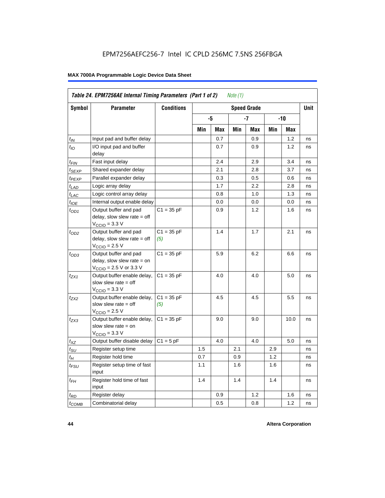|                             | <b>Parameter</b>                                                                                             | <b>Conditions</b>   |     |     |     |                    |     |      | Unit |
|-----------------------------|--------------------------------------------------------------------------------------------------------------|---------------------|-----|-----|-----|--------------------|-----|------|------|
| Symbol                      |                                                                                                              |                     |     |     |     | <b>Speed Grade</b> |     |      |      |
|                             |                                                                                                              |                     |     | -5  |     | -7                 |     | -10  |      |
|                             |                                                                                                              |                     | Min | Max | Min | Max                | Min | Max  |      |
| $t_{IN}$                    | Input pad and buffer delay                                                                                   |                     |     | 0.7 |     | 0.9                |     | 1.2  | ns   |
| $t_{IO}$                    | I/O input pad and buffer<br>delay                                                                            |                     |     | 0.7 |     | 0.9                |     | 1.2  | ns   |
| t <sub>FIN</sub>            | Fast input delay                                                                                             |                     |     | 2.4 |     | 2.9                |     | 3.4  | ns   |
| t <sub>SEXP</sub>           | Shared expander delay                                                                                        |                     |     | 2.1 |     | 2.8                |     | 3.7  | ns   |
| t <sub>PEXP</sub>           | Parallel expander delay                                                                                      |                     |     | 0.3 |     | 0.5                |     | 0.6  | ns   |
| $t_{LAD}$                   | Logic array delay                                                                                            |                     |     | 1.7 |     | 2.2                |     | 2.8  | ns   |
| $t_{LAC}$                   | Logic control array delay                                                                                    |                     |     | 0.8 |     | 1.0                |     | 1.3  | ns   |
| $t_{IOE}$                   | Internal output enable delay                                                                                 |                     |     | 0.0 |     | 0.0                |     | 0.0  | ns   |
| $t_{OD1}$                   | Output buffer and pad<br>$delay$ , slow slew rate = off<br>$V_{\text{CCIO}} = 3.3 \text{ V}$                 | $C1 = 35 pF$        |     | 0.9 |     | 1.2                |     | 1.6  | ns   |
| $t_{OD2}$                   | Output buffer and pad<br>delay, slow slew rate $=$ off<br>$V_{\text{CCIO}} = 2.5 V$                          | $C1 = 35 pF$<br>(5) |     | 1.4 |     | 1.7                |     | 2.1  | ns   |
| $t_{OD3}$                   | Output buffer and pad<br>delay, slow slew rate $=$ on<br>$V_{\text{CCIO}} = 2.5 \text{ V or } 3.3 \text{ V}$ | $C1 = 35 pF$        |     | 5.9 |     | 6.2                |     | 6.6  | ns   |
| $t_{ZX1}$                   | Output buffer enable delay,<br>slow slew rate $=$ off<br>$V_{\text{CCIO}} = 3.3 \text{ V}$                   | $C1 = 35 pF$        |     | 4.0 |     | 4.0                |     | 5.0  | ns   |
| t <sub>ZX2</sub>            | Output buffer enable delay,<br>slow slew rate $=$ off<br>$V_{\text{CCIO}} = 2.5 V$                           | $C1 = 35 pF$<br>(5) |     | 4.5 |     | 4.5                |     | 5.5  | ns   |
| t <sub>ZX3</sub>            | Output buffer enable delay,<br>slow slew rate $=$ on<br>$VCCIO = 3.3 V$                                      | $C1 = 35 pF$        |     | 9.0 |     | 9.0                |     | 10.0 | ns   |
| $t_{XZ}$                    | Output buffer disable delay                                                                                  | $C1 = 5pF$          |     | 4.0 |     | 4.0                |     | 5.0  | ns   |
| $t_{\scriptstyle\text{SU}}$ | Register setup time                                                                                          |                     | 1.5 |     | 2.1 |                    | 2.9 |      | ns   |
| $t_{\mathcal{H}}$           | Register hold time                                                                                           |                     | 0.7 |     | 0.9 |                    | 1.2 |      | ns   |
| t <sub>FSU</sub>            | Register setup time of fast<br>input                                                                         |                     | 1.1 |     | 1.6 |                    | 1.6 |      | ns   |
| $t_{FH}$                    | Register hold time of fast<br>input                                                                          |                     | 1.4 |     | 1.4 |                    | 1.4 |      | ns   |
| $t_{RD}$                    | Register delay                                                                                               |                     |     | 0.9 |     | 1.2                |     | 1.6  | ns   |
| $t_{\text{COMB}}$           | Combinatorial delay                                                                                          |                     |     | 0.5 |     | 0.8                |     | 1.2  | ns   |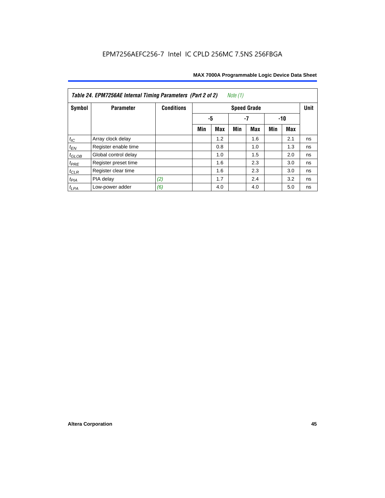| Table 24. EPM7256AE Internal Timing Parameters (Part 2 of 2)<br>Note (1) |                      |                   |                 |            |     |                    |     |     |             |  |
|--------------------------------------------------------------------------|----------------------|-------------------|-----------------|------------|-----|--------------------|-----|-----|-------------|--|
| Symbol                                                                   | <b>Parameter</b>     | <b>Conditions</b> |                 |            |     | <b>Speed Grade</b> |     |     | <b>Unit</b> |  |
|                                                                          |                      |                   | -5<br>-7<br>-10 |            |     |                    |     |     |             |  |
|                                                                          |                      |                   | Min             | <b>Max</b> | Min | Max                | Min | Max |             |  |
| $t_{\mathit{IC}}$                                                        | Array clock delay    |                   |                 | 1.2        |     | 1.6                |     | 2.1 | ns          |  |
| $t_{EN}$                                                                 | Register enable time |                   |                 | 0.8        |     | 1.0                |     | 1.3 | ns          |  |
| $t_{GLOB}$                                                               | Global control delay |                   |                 | 1.0        |     | 1.5                |     | 2.0 | ns          |  |
| $t_{PRE}$                                                                | Register preset time |                   |                 | 1.6        |     | 2.3                |     | 3.0 | ns          |  |
| $t_{CLR}$                                                                | Register clear time  |                   |                 | 1.6        |     | 2.3                |     | 3.0 | ns          |  |
| $t_{PIA}$                                                                | PIA delay            | (2)               |                 | 1.7        |     | 2.4                |     | 3.2 | ns          |  |
| $t_{LPA}$                                                                | Low-power adder      | (6)               |                 | 4.0        |     | 4.0                |     | 5.0 | ns          |  |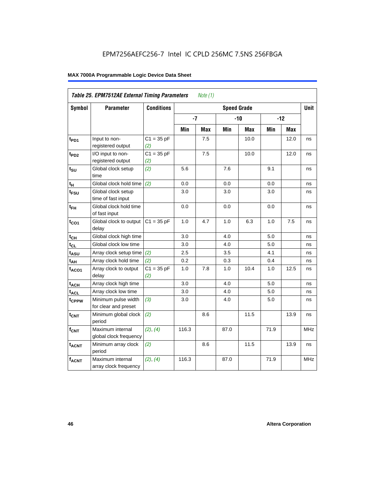| Table 25. EPM7512AE External Timing Parameters<br>Note (1) |                                             |                     |       |            |      |                    |      |       |             |  |  |
|------------------------------------------------------------|---------------------------------------------|---------------------|-------|------------|------|--------------------|------|-------|-------------|--|--|
| <b>Symbol</b>                                              | <b>Parameter</b>                            | <b>Conditions</b>   |       |            |      | <b>Speed Grade</b> |      |       | <b>Unit</b> |  |  |
|                                                            |                                             |                     | $-7$  |            |      | $-10$              |      | $-12$ |             |  |  |
|                                                            |                                             |                     | Min   | <b>Max</b> | Min  | Max                | Min  | Max   |             |  |  |
| t <sub>PD1</sub>                                           | Input to non-<br>registered output          | $C1 = 35 pF$<br>(2) |       | 7.5        |      | 10.0               |      | 12.0  | ns          |  |  |
| t <sub>PD2</sub>                                           | I/O input to non-<br>registered output      | $C1 = 35 pF$<br>(2) |       | 7.5        |      | 10.0               |      | 12.0  | ns          |  |  |
| $t_{\text{SU}}$                                            | Global clock setup<br>time                  | (2)                 | 5.6   |            | 7.6  |                    | 9.1  |       | ns          |  |  |
| t <sub>Η</sub>                                             | Global clock hold time                      | (2)                 | 0.0   |            | 0.0  |                    | 0.0  |       | ns          |  |  |
| t <sub>FSU</sub>                                           | Global clock setup<br>time of fast input    |                     | 3.0   |            | 3.0  |                    | 3.0  |       | ns          |  |  |
| $t_{FH}$                                                   | Global clock hold time<br>of fast input     |                     | 0.0   |            | 0.0  |                    | 0.0  |       | ns          |  |  |
| $t_{CO1}$                                                  | Global clock to output<br>delay             | $C1 = 35 pF$        | 1.0   | 4.7        | 1.0  | 6.3                | 1.0  | 7.5   | ns          |  |  |
| $t_{CH}$                                                   | Global clock high time                      |                     | 3.0   |            | 4.0  |                    | 5.0  |       | ns          |  |  |
| $t_{CL}$                                                   | Global clock low time                       |                     | 3.0   |            | 4.0  |                    | 5.0  |       | ns          |  |  |
| $t_{ASU}$                                                  | Array clock setup time                      | (2)                 | 2.5   |            | 3.5  |                    | 4.1  |       | ns          |  |  |
| t <sub>AH</sub>                                            | Array clock hold time                       | (2)                 | 0.2   |            | 0.3  |                    | 0.4  |       | ns          |  |  |
| $t_{ACO1}$                                                 | Array clock to output<br>delay              | $C1 = 35 pF$<br>(2) | 1.0   | 7.8        | 1.0  | 10.4               | 1.0  | 12.5  | ns          |  |  |
| $t_{\sf ACH}$                                              | Array clock high time                       |                     | 3.0   |            | 4.0  |                    | 5.0  |       | ns          |  |  |
| $t_{\text{ACL}}$                                           | Array clock low time                        |                     | 3.0   |            | 4.0  |                    | 5.0  |       | ns          |  |  |
| t <sub>CPPW</sub>                                          | Minimum pulse width<br>for clear and preset | (3)                 | 3.0   |            | 4.0  |                    | 5.0  |       | ns          |  |  |
| t <sub>CNT</sub>                                           | Minimum global clock<br>period              | (2)                 |       | 8.6        |      | 11.5               |      | 13.9  | ns          |  |  |
| $f_{CNT}$                                                  | Maximum internal<br>global clock frequency  | (2), (4)            | 116.3 |            | 87.0 |                    | 71.9 |       | <b>MHz</b>  |  |  |
| $t_{ACNT}$                                                 | Minimum array clock<br>period               | (2)                 |       | 8.6        |      | 11.5               |      | 13.9  | ns          |  |  |
| <b>fACNT</b>                                               | Maximum internal<br>array clock frequency   | (2), (4)            | 116.3 |            | 87.0 |                    | 71.9 |       | <b>MHz</b>  |  |  |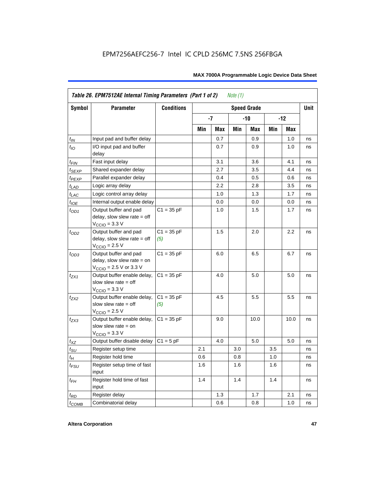| Table 26. EPM7512AE Internal Timing Parameters (Part 1 of 2)<br>Note $(1)$ |                                                                                                              |                     |     |      |     |                    |     |       |             |  |
|----------------------------------------------------------------------------|--------------------------------------------------------------------------------------------------------------|---------------------|-----|------|-----|--------------------|-----|-------|-------------|--|
| Symbol                                                                     | <b>Parameter</b>                                                                                             | <b>Conditions</b>   |     |      |     | <b>Speed Grade</b> |     |       | <b>Unit</b> |  |
|                                                                            |                                                                                                              |                     |     | $-7$ |     | $-10$              |     | $-12$ |             |  |
|                                                                            |                                                                                                              |                     | Min | Max  | Min | Max                | Min | Max   |             |  |
| $t_{IN}$                                                                   | Input pad and buffer delay                                                                                   |                     |     | 0.7  |     | 0.9                |     | 1.0   | ns          |  |
| $t_{IO}$                                                                   | I/O input pad and buffer<br>delay                                                                            |                     |     | 0.7  |     | 0.9                |     | 1.0   | ns          |  |
| $t_{\sf FIN}$                                                              | Fast input delay                                                                                             |                     |     | 3.1  |     | 3.6                |     | 4.1   | ns          |  |
| $t_{SEXP}$                                                                 | Shared expander delay                                                                                        |                     |     | 2.7  |     | 3.5                |     | 4.4   | ns          |  |
| t <sub>PEXP</sub>                                                          | Parallel expander delay                                                                                      |                     |     | 0.4  |     | 0.5                |     | 0.6   | ns          |  |
| $t_{LAD}$                                                                  | Logic array delay                                                                                            |                     |     | 2.2  |     | 2.8                |     | 3.5   | ns          |  |
| $t_{LAC}$                                                                  | Logic control array delay                                                                                    |                     |     | 1.0  |     | 1.3                |     | 1.7   | ns          |  |
| $t_{IOE}$                                                                  | Internal output enable delay                                                                                 |                     |     | 0.0  |     | 0.0                |     | 0.0   | ns          |  |
| $t_{OD1}$                                                                  | Output buffer and pad<br>delay, slow slew rate $=$ off<br>$V_{\text{CCIO}} = 3.3 \text{ V}$                  | $C1 = 35 pF$        |     | 1.0  |     | 1.5                |     | 1.7   | ns          |  |
| $t_{OD2}$                                                                  | Output buffer and pad<br>delay, slow slew rate $=$ off<br>$VCCIO = 2.5 V$                                    | $C1 = 35 pF$<br>(5) |     | 1.5  |     | 2.0                |     | 2.2   | ns          |  |
| $t_{OD3}$                                                                  | Output buffer and pad<br>delay, slow slew rate $=$ on<br>$V_{\text{CCIO}} = 2.5 \text{ V or } 3.3 \text{ V}$ | $C1 = 35 pF$        |     | 6.0  |     | 6.5                |     | 6.7   | ns          |  |
| $t_{ZX1}$                                                                  | Output buffer enable delay,<br>slow slew rate $=$ off<br>$V_{\text{CCIO}} = 3.3 \text{ V}$                   | $C1 = 35 pF$        |     | 4.0  |     | 5.0                |     | 5.0   | ns          |  |
| $t_{ZX2}$                                                                  | Output buffer enable delay,<br>slow slew rate $=$ off<br>$V_{\text{CCIO}}$ = 2.5 V                           | $C1 = 35 pF$<br>(5) |     | 4.5  |     | 5.5                |     | 5.5   | ns          |  |
| $t_{ZX3}$                                                                  | Output buffer enable delay,<br>slow slew rate $=$ on<br>$V_{\text{CCIO}} = 3.3 \text{ V}$                    | $C1 = 35 pF$        |     | 9.0  |     | 10.0               |     | 10.0  | ns          |  |
| $t_{XZ}$                                                                   | Output buffer disable delay                                                                                  | $C1 = 5pF$          |     | 4.0  |     | 5.0                |     | 5.0   | ns          |  |
| $t_{\text{SU}}$                                                            | Register setup time                                                                                          |                     | 2.1 |      | 3.0 |                    | 3.5 |       | ns          |  |
| $t_H$                                                                      | Register hold time                                                                                           |                     | 0.6 |      | 0.8 |                    | 1.0 |       | ns          |  |
| $t_{FSU}$                                                                  | Register setup time of fast<br>input                                                                         |                     | 1.6 |      | 1.6 |                    | 1.6 |       | ns          |  |
| $t_{FH}$                                                                   | Register hold time of fast<br>input                                                                          |                     | 1.4 |      | 1.4 |                    | 1.4 |       | ns          |  |
| $t_{RD}$                                                                   | Register delay                                                                                               |                     |     | 1.3  |     | 1.7                |     | 2.1   | ns          |  |
| $t_{COMB}$                                                                 | Combinatorial delay                                                                                          |                     |     | 0.6  |     | 0.8                |     | 1.0   | ns          |  |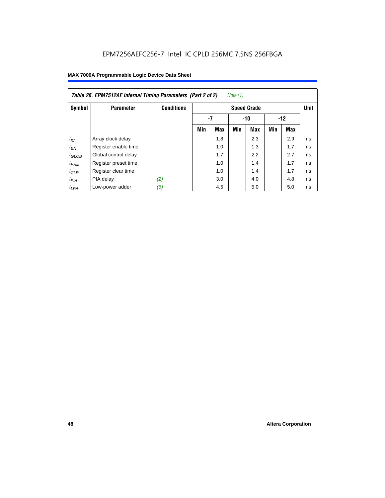| Table 26. EPM7512AE Internal Timing Parameters (Part 2 of 2)<br>Note (1) |                      |                   |     |            |     |                    |     |       |             |  |  |
|--------------------------------------------------------------------------|----------------------|-------------------|-----|------------|-----|--------------------|-----|-------|-------------|--|--|
| Symbol                                                                   | <b>Parameter</b>     | <b>Conditions</b> |     |            |     | <b>Speed Grade</b> |     |       | <b>Unit</b> |  |  |
|                                                                          |                      |                   | -7  |            |     | $-10$              |     | $-12$ |             |  |  |
|                                                                          |                      |                   | Min | <b>Max</b> | Min | Max                | Min | Max   |             |  |  |
| $t_{IC}$                                                                 | Array clock delay    |                   |     | 1.8        |     | 2.3                |     | 2.9   | ns          |  |  |
| $t_{EN}$                                                                 | Register enable time |                   |     | 1.0        |     | 1.3                |     | 1.7   | ns          |  |  |
| $t_{GLOB}$                                                               | Global control delay |                   |     | 1.7        |     | 2.2                |     | 2.7   | ns          |  |  |
| $t_{PRE}$                                                                | Register preset time |                   |     | 1.0        |     | 1.4                |     | 1.7   | ns          |  |  |
| $t_{CLR}$                                                                | Register clear time  |                   |     | 1.0        |     | 1.4                |     | 1.7   | ns          |  |  |
| t <sub>PIA</sub>                                                         | PIA delay            | (2)               |     | 3.0        |     | 4.0                |     | 4.8   | ns          |  |  |
| $t_{LPA}$                                                                | Low-power adder      | (6)               |     | 4.5        |     | 5.0                |     | 5.0   | ns          |  |  |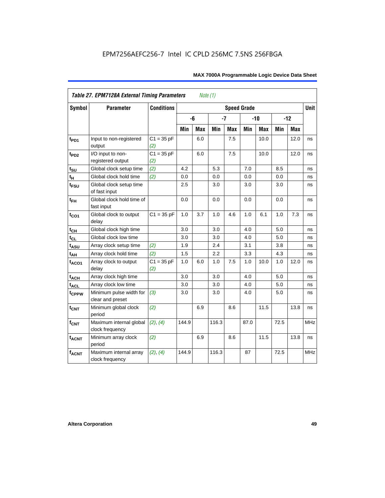| <b>Table 27. EPM7128A External Timing Parameters</b><br>Note (1) |                                             |                     |       |            |       |            |                    |            |      |       |             |
|------------------------------------------------------------------|---------------------------------------------|---------------------|-------|------------|-------|------------|--------------------|------------|------|-------|-------------|
| <b>Symbol</b>                                                    | <b>Parameter</b>                            | <b>Conditions</b>   |       |            |       |            | <b>Speed Grade</b> |            |      |       | <b>Unit</b> |
|                                                                  |                                             |                     |       | -6         | $-7$  |            |                    | $-10$      |      | $-12$ |             |
|                                                                  |                                             |                     | Min   | <b>Max</b> | Min   | <b>Max</b> | Min                | <b>Max</b> | Min  | Max   |             |
| t <sub>PD1</sub>                                                 | Input to non-registered<br>output           | $C1 = 35 pF$<br>(2) |       | 6.0        |       | 7.5        |                    | 10.0       |      | 12.0  | ns          |
| t <sub>PD2</sub>                                                 | I/O input to non-<br>registered output      | $C1 = 35 pF$<br>(2) |       | 6.0        |       | 7.5        |                    | 10.0       |      | 12.0  | ns          |
| $t_{\text{SU}}$                                                  | Global clock setup time                     | (2)                 | 4.2   |            | 5.3   |            | 7.0                |            | 8.5  |       | ns          |
| t <sub>H</sub>                                                   | Global clock hold time                      | (2)                 | 0.0   |            | 0.0   |            | 0.0                |            | 0.0  |       | ns          |
| t <sub>FSU</sub>                                                 | Global clock setup time<br>of fast input    |                     | 2.5   |            | 3.0   |            | 3.0                |            | 3.0  |       | ns          |
| $t_{FH}$                                                         | Global clock hold time of<br>fast input     |                     | 0.0   |            | 0.0   |            | 0.0                |            | 0.0  |       | ns          |
| $t_{CO1}$                                                        | Global clock to output<br>delay             | $C1 = 35 pF$        | 1.0   | 3.7        | 1.0   | 4.6        | 1.0                | 6.1        | 1.0  | 7.3   | ns          |
| $t_{\mathsf{CH}}$                                                | Global clock high time                      |                     | 3.0   |            | 3.0   |            | 4.0                |            | 5.0  |       | ns          |
| $t_{CL}$                                                         | Global clock low time                       |                     | 3.0   |            | 3.0   |            | 4.0                |            | 5.0  |       | ns          |
| t <sub>ASU</sub>                                                 | Array clock setup time                      | (2)                 | 1.9   |            | 2.4   |            | 3.1                |            | 3.8  |       | ns          |
| t <sub>АН</sub>                                                  | Array clock hold time                       | (2)                 | 1.5   |            | 2.2   |            | 3.3                |            | 4.3  |       | ns          |
| t <sub>ACO1</sub>                                                | Array clock to output<br>delay              | $C1 = 35 pF$<br>(2) | 1.0   | 6.0        | 1.0   | 7.5        | 1.0                | 10.0       | 1.0  | 12.0  | ns          |
| $t_{ACH}$                                                        | Array clock high time                       |                     | 3.0   |            | 3.0   |            | 4.0                |            | 5.0  |       | ns          |
| t <sub>ACL</sub>                                                 | Array clock low time                        |                     | 3.0   |            | 3.0   |            | 4.0                |            | 5.0  |       | ns          |
| t <sub>CPPW</sub>                                                | Minimum pulse width for<br>clear and preset | (3)                 | 3.0   |            | 3.0   |            | 4.0                |            | 5.0  |       | ns          |
| $t_{\text{CNT}}$                                                 | Minimum global clock<br>period              | (2)                 |       | 6.9        |       | 8.6        |                    | 11.5       |      | 13.8  | ns          |
| $f_{\text{CNT}}$                                                 | Maximum internal global<br>clock frequency  | (2), (4)            | 144.9 |            | 116.3 |            | 87.0               |            | 72.5 |       | <b>MHz</b>  |
| $t_{ACNT}$                                                       | Minimum array clock<br>period               | (2)                 |       | 6.9        |       | 8.6        |                    | 11.5       |      | 13.8  | ns          |
| <b>fACNT</b>                                                     | Maximum internal array<br>clock frequency   | (2), (4)            | 144.9 |            | 116.3 |            | 87                 |            | 72.5 |       | <b>MHz</b>  |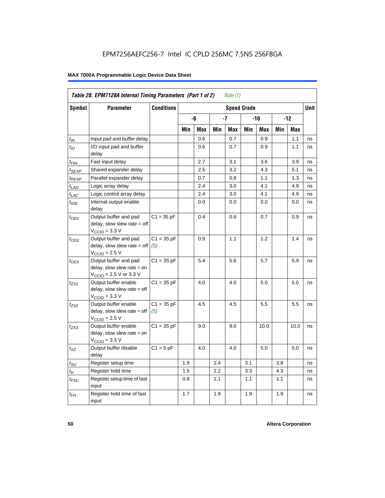|                             | Table 28. EPM7128A Internal Timing Parameters (Part 1 of 2)<br>Note (1)                                      |                                         |     |     |     |     |     |      |     |            |    |
|-----------------------------|--------------------------------------------------------------------------------------------------------------|-----------------------------------------|-----|-----|-----|-----|-----|------|-----|------------|----|
| Symbol                      | <b>Parameter</b>                                                                                             | <b>Conditions</b><br><b>Speed Grade</b> |     |     |     |     |     |      |     | Unit       |    |
|                             |                                                                                                              |                                         |     | -6  |     | -7  | -10 |      | -12 |            |    |
|                             |                                                                                                              |                                         | Min | Max | Min | Max | Min | Max  | Min | <b>Max</b> |    |
| $t_{IN}$                    | Input pad and buffer delay                                                                                   |                                         |     | 0.6 |     | 0.7 |     | 0.9  |     | 1.1        | ns |
| $t_{IO}$                    | I/O input pad and buffer<br>delay                                                                            |                                         |     | 0.6 |     | 0.7 |     | 0.9  |     | 1.1        | ns |
| t <sub>FIN</sub>            | Fast input delay                                                                                             |                                         |     | 2.7 |     | 3.1 |     | 3.6  |     | 3.9        | ns |
| t <sub>SEXP</sub>           | Shared expander delay                                                                                        |                                         |     | 2.5 |     | 3.2 |     | 4.3  |     | 5.1        | ns |
| t <sub>PEXP</sub>           | Parallel expander delay                                                                                      |                                         |     | 0.7 |     | 0.8 |     | 1.1  |     | 1.3        | ns |
| $t_{LAD}$                   | Logic array delay                                                                                            |                                         |     | 2.4 |     | 3.0 |     | 4.1  |     | 4.9        | ns |
| $t_{LAC}$                   | Logic control array delay                                                                                    |                                         |     | 2.4 |     | 3.0 |     | 4.1  |     | 4.9        | ns |
| $t_{\mathit{IOE}}$          | Internal output enable<br>delay                                                                              |                                         |     | 0.0 |     | 0.0 |     | 0.0  |     | 0.0        | ns |
| $t_{OD1}$                   | Output buffer and pad<br>delay, slow slew rate $=$ off<br>$VCCIO = 3.3 V$                                    | $C1 = 35 pF$                            |     | 0.4 |     | 0.6 |     | 0.7  |     | 0.9        | ns |
| $t_{OD2}$                   | Output buffer and pad<br>delay, slow slew rate $=$ off<br>$VCCIO = 2.5 V$                                    | $C1 = 35 pF$<br>(5)                     |     | 0.9 |     | 1.1 |     | 1.2  |     | 1.4        | ns |
| $t_{OD3}$                   | Output buffer and pad<br>delay, slow slew rate $=$ on<br>$V_{\text{CCIO}} = 2.5 \text{ V or } 3.3 \text{ V}$ | $C1 = 35 pF$                            |     | 5.4 |     | 5.6 |     | 5.7  |     | 5.9        | ns |
| t <sub>ZX1</sub>            | Output buffer enable<br>$delay$ , slow slew rate = off<br>$VCCIO = 3.3 V$                                    | $C1 = 35 pF$                            |     | 4.0 |     | 4.0 |     | 5.0  |     | 5.0        | ns |
| $t_{ZX2}$                   | Output buffer enable<br>$delay$ , slow slew rate = off<br>$VCCIO = 2.5 V$                                    | $C1 = 35 pF$<br>(5)                     |     | 4.5 |     | 4.5 |     | 5.5  |     | 5.5        | ns |
| t <sub>ZX3</sub>            | Output buffer enable<br>delay, slow slew rate $=$ on<br>$VCCIO = 3.3 V$                                      | $C1 = 35 pF$                            |     | 9.0 |     | 9.0 |     | 10.0 |     | 10.0       | ns |
| $t_{\mathsf{XZ}}$           | Output buffer disable<br>delay                                                                               | $C1 = 5$ pF                             |     | 4.0 |     | 4.0 |     | 5.0  |     | 5.0        | ns |
| $t_{\scriptstyle\text{SU}}$ | Register setup time                                                                                          |                                         | 1.9 |     | 2.4 |     | 3.1 |      | 3.8 |            | ns |
| $t_{\mathcal{H}}$           | Register hold time                                                                                           |                                         | 1.5 |     | 2.2 |     | 3.3 |      | 4.3 |            | ns |
| t <sub>FSU</sub>            | Register setup time of fast<br>input                                                                         |                                         | 0.8 |     | 1.1 |     | 1.1 |      | 1.1 |            | ns |
| $t_{FH}$                    | Register hold time of fast<br>input                                                                          |                                         | 1.7 |     | 1.9 |     | 1.9 |      | 1.9 |            | ns |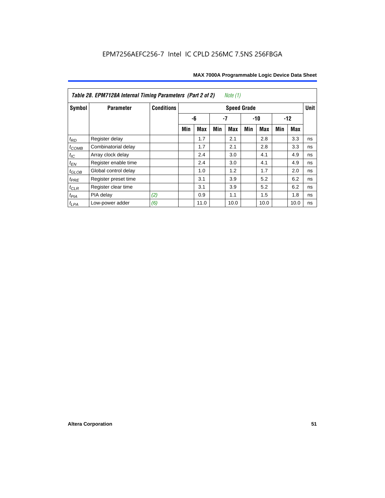| Table 28. EPM7128A Internal Timing Parameters (Part 2 of 2)<br>Note $(1)$ |                      |                   |                    |            |     |            |       |            |       |      |             |
|---------------------------------------------------------------------------|----------------------|-------------------|--------------------|------------|-----|------------|-------|------------|-------|------|-------------|
| Symbol                                                                    | <b>Parameter</b>     | <b>Conditions</b> | <b>Speed Grade</b> |            |     |            |       |            |       |      | <b>Unit</b> |
|                                                                           |                      |                   |                    | -6         |     | -7         | $-10$ |            | $-12$ |      |             |
|                                                                           |                      |                   | Min                | <b>Max</b> | Min | <b>Max</b> | Min   | <b>Max</b> | Min   | Max  |             |
| $t_{RD}$                                                                  | Register delay       |                   |                    | 1.7        |     | 2.1        |       | 2.8        |       | 3.3  | ns          |
| $t_{COMB}$                                                                | Combinatorial delay  |                   |                    | 1.7        |     | 2.1        |       | 2.8        |       | 3.3  | ns          |
| $t_{IC}$                                                                  | Array clock delay    |                   |                    | 2.4        |     | 3.0        |       | 4.1        |       | 4.9  | ns          |
| $t_{EN}$                                                                  | Register enable time |                   |                    | 2.4        |     | 3.0        |       | 4.1        |       | 4.9  | ns          |
| $t_{GLOB}$                                                                | Global control delay |                   |                    | 1.0        |     | 1.2        |       | 1.7        |       | 2.0  | ns          |
| $t_{PRE}$                                                                 | Register preset time |                   |                    | 3.1        |     | 3.9        |       | 5.2        |       | 6.2  | ns          |
| $t_{\text{CLR}}$                                                          | Register clear time  |                   |                    | 3.1        |     | 3.9        |       | 5.2        |       | 6.2  | ns          |
| $t_{PIA}$                                                                 | PIA delay            | (2)               |                    | 0.9        |     | 1.1        |       | 1.5        |       | 1.8  | ns          |
| $t_{LPA}$                                                                 | Low-power adder      | (6)               |                    | 11.0       |     | 10.0       |       | 10.0       |       | 10.0 | ns          |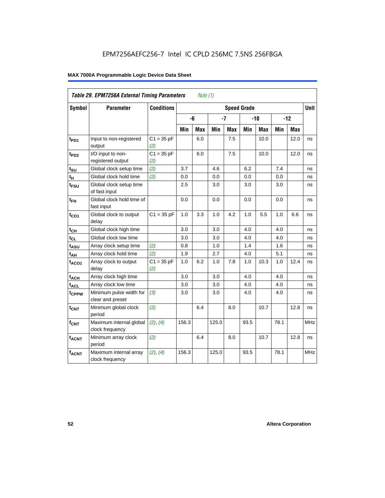| Table 29. EPM7256A External Timing Parameters<br>Note (1) |                                             |                     |                    |     |       |            |       |      |       |             |            |
|-----------------------------------------------------------|---------------------------------------------|---------------------|--------------------|-----|-------|------------|-------|------|-------|-------------|------------|
| Symbol                                                    | <b>Parameter</b>                            | <b>Conditions</b>   | <b>Speed Grade</b> |     |       |            |       |      |       | <b>Unit</b> |            |
|                                                           |                                             |                     |                    | -6  | $-7$  |            | $-10$ |      | $-12$ |             |            |
|                                                           |                                             |                     | Min                | Max | Min   | <b>Max</b> | Min   | Max  | Min   | <b>Max</b>  |            |
| t <sub>PD1</sub>                                          | Input to non-registered<br>output           | $C1 = 35 pF$<br>(2) |                    | 6.0 |       | 7.5        |       | 10.0 |       | 12.0        | ns         |
| t <sub>PD2</sub>                                          | I/O input to non-<br>registered output      | $C1 = 35 pF$<br>(2) |                    | 6.0 |       | 7.5        |       | 10.0 |       | 12.0        | ns         |
| $t_{\text{SU}}$                                           | Global clock setup time                     | (2)                 | 3.7                |     | 4.6   |            | 6.2   |      | 7.4   |             | ns         |
| $t_H$                                                     | Global clock hold time                      | (2)                 | 0.0                |     | 0.0   |            | 0.0   |      | 0.0   |             | ns         |
| $t_{\text{FSU}}$                                          | Global clock setup time<br>of fast input    |                     | 2.5                |     | 3.0   |            | 3.0   |      | 3.0   |             | ns         |
| $t_{FH}$                                                  | Global clock hold time of<br>fast input     |                     | 0.0                |     | 0.0   |            | 0.0   |      | 0.0   |             | ns         |
| $t_{CO1}$                                                 | Global clock to output<br>delay             | $C1 = 35 pF$        | 1.0                | 3.3 | 1.0   | 4.2        | 1.0   | 5.5  | 1.0   | 6.6         | ns         |
| $t_{CH}$                                                  | Global clock high time                      |                     | 3.0                |     | 3.0   |            | 4.0   |      | 4.0   |             | ns         |
| $t_{CL}$                                                  | Global clock low time                       |                     | 3.0                |     | 3.0   |            | 4.0   |      | 4.0   |             | ns         |
| t <sub>ASU</sub>                                          | Array clock setup time                      | (2)                 | 0.8                |     | 1.0   |            | 1.4   |      | 1.6   |             | ns         |
| $t_{AH}$                                                  | Array clock hold time                       | (2)                 | 1.9                |     | 2.7   |            | 4.0   |      | 5.1   |             | ns         |
| $t_{ACO1}$                                                | Array clock to output<br>delay              | $C1 = 35 pF$<br>(2) | 1.0                | 6.2 | 1.0   | 7.8        | 1.0   | 10.3 | 1.0   | 12.4        | ns         |
| $t_{ACH}$                                                 | Array clock high time                       |                     | 3.0                |     | 3.0   |            | 4.0   |      | 4.0   |             | ns         |
| $t_{\text{ACL}}$                                          | Array clock low time                        |                     | 3.0                |     | 3.0   |            | 4.0   |      | 4.0   |             | ns         |
| t <sub>CPPW</sub>                                         | Minimum pulse width for<br>clear and preset | (3)                 | 3.0                |     | 3.0   |            | 4.0   |      | 4.0   |             | ns         |
| $t_{\text{CNT}}$                                          | Minimum global clock<br>period              | (2)                 |                    | 6.4 |       | 8.0        |       | 10.7 |       | 12.8        | ns         |
| $f_{CNT}$                                                 | Maximum internal global<br>clock frequency  | (2), (4)            | 156.3              |     | 125.0 |            | 93.5  |      | 78.1  |             | <b>MHz</b> |
| t <sub>ACNT</sub>                                         | Minimum array clock<br>period               | (2)                 |                    | 6.4 |       | 8.0        |       | 10.7 |       | 12.8        | ns         |
| <b>fACNT</b>                                              | Maximum internal array<br>clock frequency   | (2), (4)            | 156.3              |     | 125.0 |            | 93.5  |      | 78.1  |             | <b>MHz</b> |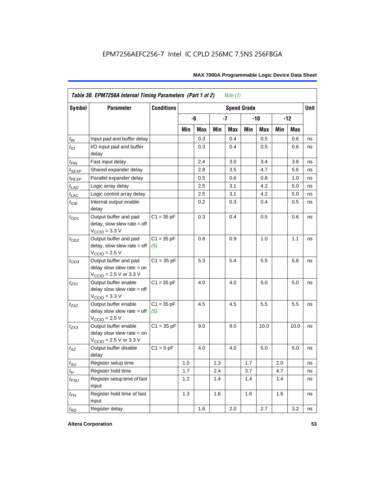| <b>Symbol</b>     | <b>Parameter</b>                                                                                           | <b>Conditions</b>   |                            |     |     |            | <b>Speed Grade</b> |      |     |            | <b>Unit</b> |
|-------------------|------------------------------------------------------------------------------------------------------------|---------------------|----------------------------|-----|-----|------------|--------------------|------|-----|------------|-------------|
|                   |                                                                                                            |                     | -6<br>$-7$<br>$-12$<br>-10 |     |     |            |                    |      |     |            |             |
|                   |                                                                                                            |                     | Min                        | Max | Min | <b>Max</b> | Min                | Max  | Min | <b>Max</b> |             |
| $t_{\mathit{IN}}$ | Input pad and buffer delay                                                                                 |                     |                            | 0.3 |     | 0.4        |                    | 0.5  |     | 0.6        | ns          |
| $t_{IO}$          | I/O input pad and buffer<br>delay                                                                          |                     |                            | 0.3 |     | 0.4        |                    | 0.5  |     | 0.6        | ns          |
| t <sub>FIN</sub>  | Fast input delay                                                                                           |                     |                            | 2.4 |     | 3.0        |                    | 3.4  |     | 3.8        | ns          |
| <sup>t</sup> SEXP | Shared expander delay                                                                                      |                     |                            | 2.8 |     | 3.5        |                    | 4.7  |     | 5.6        | ns          |
| t <sub>PEXP</sub> | Parallel expander delay                                                                                    |                     |                            | 0.5 |     | 0.6        |                    | 0.8  |     | 1.0        | ns          |
| $t_{LAD}$         | Logic array delay                                                                                          |                     |                            | 2.5 |     | 3.1        |                    | 4.2  |     | 5.0        | ns          |
| $t_{LAC}$         | Logic control array delay                                                                                  |                     |                            | 2.5 |     | 3.1        |                    | 4.2  |     | 5.0        | ns          |
| $t_{IOE}$         | Internal output enable<br>delay                                                                            |                     |                            | 0.2 |     | 0.3        |                    | 0.4  |     | 0.5        | ns          |
| $t_{OD1}$         | Output buffer and pad<br>delay, slow slew rate $=$ off<br>$V_{\text{CCIO}} = 3.3 \text{ V}$                | $C1 = 35 pF$        |                            | 0.3 |     | 0.4        |                    | 0.5  |     | 0.6        | ns          |
| $t_{OD2}$         | Output buffer and pad<br>$delay$ , slow slew rate = off<br>$VCCIO = 2.5 V$                                 | $C1 = 35 pF$<br>(5) |                            | 0.8 |     | 0.9        |                    | 1.0  |     | 1.1        | ns          |
| $t_{OD3}$         | Output buffer and pad<br>delay slow slew rate $=$ on<br>$V_{\text{CCIO}}$ = 2.5 V or 3.3 V                 | $C1 = 35 pF$        |                            | 5.3 |     | 5.4        |                    | 5.5  |     | 5.6        | ns          |
| tzx1              | Output buffer enable<br>delay slow slew rate $=$ off<br>$VCCIO = 3.3 V$                                    | $C1 = 35 pF$        |                            | 4.0 |     | 4.0        |                    | 5.0  |     | 5.0        | ns          |
| $t_{ZX2}$         | Output buffer enable<br>delay slow slew rate $=$ off<br>$VCCIO = 2.5 V$                                    | $C1 = 35 pF$<br>(5) |                            | 4.5 |     | 4.5        |                    | 5.5  |     | 5.5        | ns          |
| t <sub>ZX3</sub>  | Output buffer enable<br>delay slow slew rate $=$ on<br>$V_{\text{CCIO}} = 2.5 \text{ V or } 3.3 \text{ V}$ | $C1 = 35 pF$        |                            | 9.0 |     | 9.0        |                    | 10.0 |     | 10.0       | ns          |
| $t_{XZ}$          | Output buffer disable<br>delay                                                                             | $C1 = 5$ pF         |                            | 4.0 |     | 4.0        |                    | 5.0  |     | 5.0        | ns          |
| $t_{\text{SU}}$   | Register setup time                                                                                        |                     | 1.0                        |     | 1.3 |            | 1.7                |      | 2.0 |            | ns          |
| $t_{H}$           | Register hold time                                                                                         |                     | 1.7                        |     | 2.4 |            | 3.7                |      | 4.7 |            | ns          |
| $t_{FSU}$         | Register setup time of fast<br>input                                                                       |                     | 1.2                        |     | 1.4 |            | 1.4                |      | 1.4 |            | ns          |
| $t_{FH}$          | Register hold time of fast<br>input                                                                        |                     | 1.3                        |     | 1.6 |            | 1.6                |      | 1.6 |            | ns          |
| $t_{RD}$          | Register delay                                                                                             |                     |                            | 1.6 |     | 2.0        |                    | 2.7  |     | 3.2        | ns          |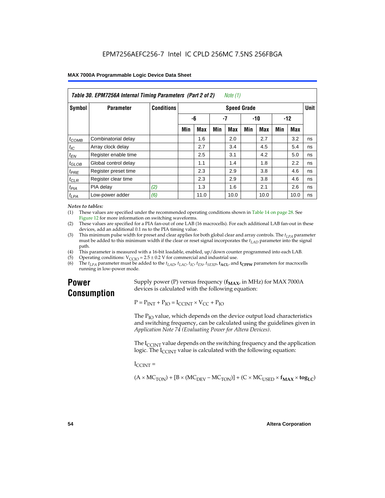| Table 30. EPM7256A Internal Timing Parameters (Part 2 of 2)<br>Note (1) |                      |                   |     |            |     |                    |     |            |       |      |             |
|-------------------------------------------------------------------------|----------------------|-------------------|-----|------------|-----|--------------------|-----|------------|-------|------|-------------|
| Symbol                                                                  | <b>Parameter</b>     | <b>Conditions</b> |     |            |     | <b>Speed Grade</b> |     |            |       |      | <b>Unit</b> |
|                                                                         |                      |                   | -6  |            | -7  |                    | -10 |            | $-12$ |      |             |
|                                                                         |                      |                   | Min | <b>Max</b> | Min | Max                | Min | <b>Max</b> | Min   | Max  |             |
| $t_{COMB}$                                                              | Combinatorial delay  |                   |     | 1.6        |     | 2.0                |     | 2.7        |       | 3.2  | ns          |
| $t_{\text{IC}}$                                                         | Array clock delay    |                   |     | 2.7        |     | 3.4                |     | 4.5        |       | 5.4  | ns          |
| $t_{EN}$                                                                | Register enable time |                   |     | 2.5        |     | 3.1                |     | 4.2        |       | 5.0  | ns          |
| $t_{GLOB}$                                                              | Global control delay |                   |     | 1.1        |     | 1.4                |     | 1.8        |       | 2.2  | ns          |
| $t_{PRE}$                                                               | Register preset time |                   |     | 2.3        |     | 2.9                |     | 3.8        |       | 4.6  | ns          |
| $t_{CLR}$                                                               | Register clear time  |                   |     | 2.3        |     | 2.9                |     | 3.8        |       | 4.6  | ns          |
| t <sub>PIA</sub>                                                        | PIA delay            | (2)               |     | 1.3        |     | 1.6                |     | 2.1        |       | 2.6  | ns          |
| $t_{LPA}$                                                               | Low-power adder      | (6)               |     | 11.0       |     | 10.0               |     | 10.0       |       | 10.0 | ns          |

#### *Notes to tables:*

(1) These values are specified under the recommended operating conditions shown in Table 14 on page 28. See Figure 12 for more information on switching waveforms.

- (2) These values are specified for a PIA fan-out of one LAB (16 macrocells). For each additional LAB fan-out in these devices, add an additional 0.1 ns to the PIA timing value.
- (3) This minimum pulse width for preset and clear applies for both global clear and array controls. The  $t_{LPA}$  parameter must be added to this minimum width if the clear or reset signal incorporates the  $t_{LAD}$  parameter into the signal path.
- (4) This parameter is measured with a 16-bit loadable, enabled, up/down counter programmed into each LAB.
- (5) Operating conditions:  $V_{\text{CCIO}} = 2.5 \pm 0.2 \text{ V}$  for commercial and industrial use.<br>(6) The  $t_{I/A}$  parameter must be added to the  $t_{I AD}$ ,  $t_{I AC}$ ,  $t_{I C}$ ,  $t_{F N}$ ,  $t_{S F Y P}$ ,  $t_{A C I}$ , and
- The  $t_{LPA}$  parameter must be added to the  $t_{LAD}$ ,  $t_{LAC}$ ,  $t_{IC}$ ,  $t_{EN}$ ,  $t_{SEXP}$ ,  $t_{ACL}$  and  $t_{CPPW}$  parameters for macrocells running in low-power mode.

# **Power Consumption**

Supply power (P) versus frequency  $(f_{MAX}$ , in MHz) for MAX 7000A devices is calculated with the following equation:

 $P = P_{INT} + P_{IO} = I_{CCINT} \times V_{CC} + P_{IO}$ 

The  $P_{IO}$  value, which depends on the device output load characteristics and switching frequency, can be calculated using the guidelines given in *Application Note 74 (Evaluating Power for Altera Devices)*.

The  $I_{\text{CUNT}}$  value depends on the switching frequency and the application logic. The  $I_{\text{CCINT}}$  value is calculated with the following equation:

 $I_{\text{CCMT}} =$ 

 $(A \times MC_{TON}) + [B \times (MC_{DEV} - MC_{TON})] + (C \times MC_{LISED} \times f_{MAX} \times tog_{LC})$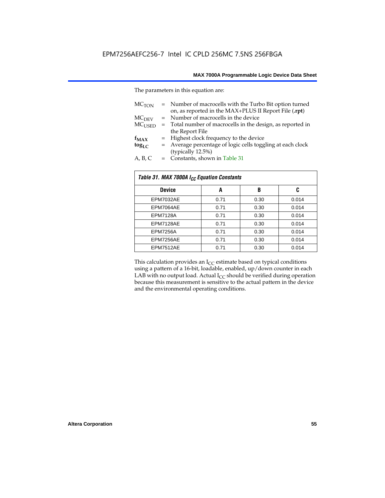The parameters in this equation are:

| MC <sub>TON</sub> | = Number of macrocells with the Turbo Bit option turned<br>on, as reported in the MAX+PLUS II Report File (.rpt) |
|-------------------|------------------------------------------------------------------------------------------------------------------|
| MC <sub>DFV</sub> | = Number of macrocells in the device                                                                             |
| $MC_{LISED}$      | $=$ Total number of macrocells in the design, as reported in                                                     |
|                   | the Report File                                                                                                  |
| $f_{MAX}$         | = Highest clock frequency to the device                                                                          |
| $tog_{LC}$        | = Average percentage of logic cells toggling at each clock                                                       |
|                   | (typically 12.5%)                                                                                                |
| A, B, C           | = Constants, shown in Table 31                                                                                   |

| Table 31. MAX 7000A I <sub>CC</sub> Equation Constants |      |      |       |  |  |  |  |
|--------------------------------------------------------|------|------|-------|--|--|--|--|
| <b>Device</b>                                          | A    | B    | C     |  |  |  |  |
| EPM7032AE                                              | 0.71 | 0.30 | 0.014 |  |  |  |  |
| EPM7064AE                                              | 0.71 | 0.30 | 0.014 |  |  |  |  |
| <b>EPM7128A</b>                                        | 0.71 | 0.30 | 0.014 |  |  |  |  |
| EPM7128AE                                              | 0.71 | 0.30 | 0.014 |  |  |  |  |
| <b>EPM7256A</b>                                        | 0.71 | 0.30 | 0.014 |  |  |  |  |
| EPM7256AE                                              | 0.71 | 0.30 | 0.014 |  |  |  |  |
| EPM7512AE                                              | 0.71 | 0.30 | 0.014 |  |  |  |  |

This calculation provides an  $I_{CC}$  estimate based on typical conditions using a pattern of a 16-bit, loadable, enabled, up/down counter in each LAB with no output load. Actual  $I_{CC}$  should be verified during operation because this measurement is sensitive to the actual pattern in the device and the environmental operating conditions.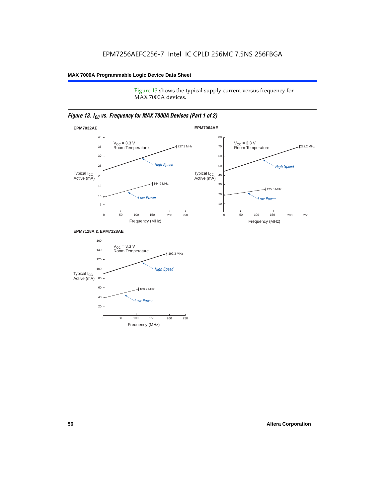Figure 13 shows the typical supply current versus frequency for MAX 7000A devices.

# *Figure 13. I<sub>CC</sub> vs. Frequency for MAX 7000A Devices (Part 1 of 2)*



#### **EPM7128A & EPM7128AE**

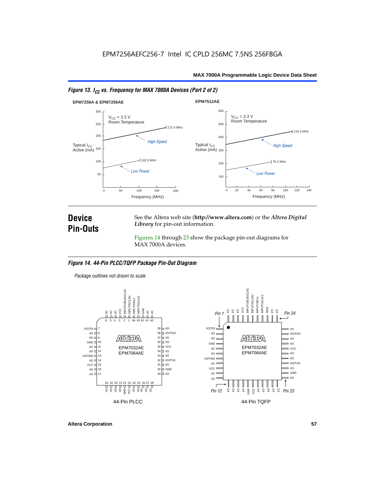



# **Device Pin-Outs**

See the Altera web site (**http://www.altera.com**) or the *Altera Digital Library* for pin-out information.

Figures 14 through 23 show the package pin-out diagrams for MAX 7000A devices.

# *Figure 14. 44-Pin PLCC/TQFP Package Pin-Out Diagram*

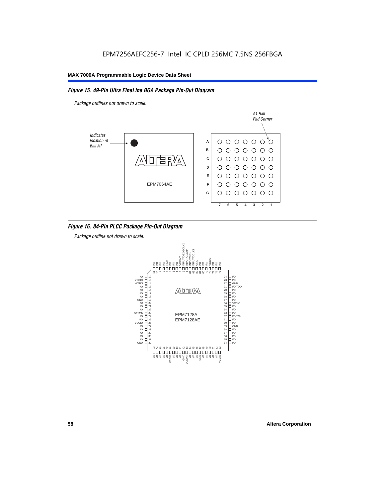## *Figure 15. 49-Pin Ultra FineLine BGA Package Pin-Out Diagram*

*Package outlines not drawn to scale.*



# *Figure 16. 84-Pin PLCC Package Pin-Out Diagram*

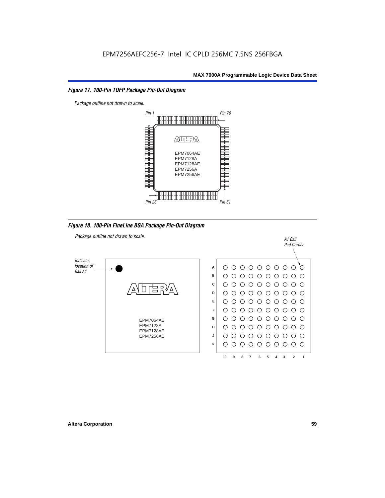## *Figure 17. 100-Pin TQFP Package Pin-Out Diagram*



*Figure 18. 100-Pin FineLine BGA Package Pin-Out Diagram*

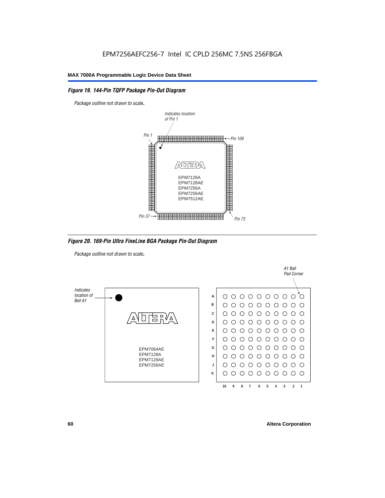# *Figure 19. 144-Pin TQFP Package Pin-Out Diagram*

*Package outline not drawn to scale*.



*Figure 20. 169-Pin Ultra FineLine BGA Package Pin-Out Diagram*

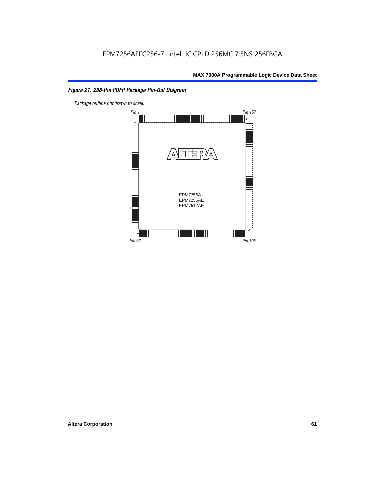# *Figure 21. 208-Pin PQFP Package Pin-Out Diagram*

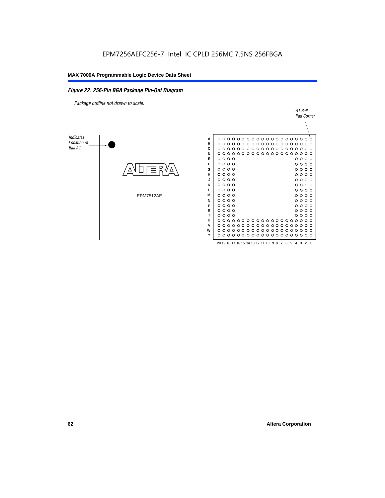### *Figure 22. 256-Pin BGA Package Pin-Out Diagram*

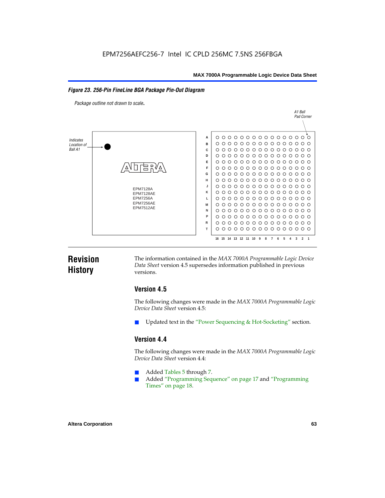#### *Figure 23. 256-Pin FineLine BGA Package Pin-Out Diagram*

*Package outline not drawn to scale*.



# **Revision History**

The information contained in the *MAX 7000A Programmable Logic Device Data Sheet* version 4.5 supersedes information published in previous versions.

# **Version 4.5**

The following changes were made in the *MAX 7000A Programmable Logic Device Data Sheet* version 4.5:

Updated text in the "Power Sequencing & Hot-Socketing" section.

# **Version 4.4**

The following changes were made in the *MAX 7000A Programmable Logic Device Data Sheet* version 4.4:

- Added Tables 5 through 7.
	- Added "Programming Sequence" on page 17 and "Programming Times" on page 18.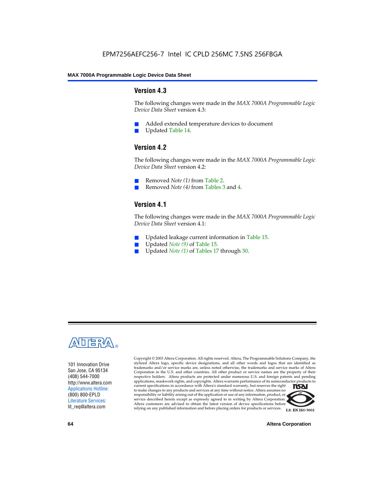# **Version 4.3**

The following changes were made in the *MAX 7000A Programmable Logic Device Data Sheet* version 4.3:

- Added extended temperature devices to document
- Updated Table 14.

# **Version 4.2**

The following changes were made in the *MAX 7000A Programmable Logic Device Data Sheet* version 4.2:

- Removed *Note (1)* from Table 2.
- Removed *Note (4)* from Tables 3 and 4.

# **Version 4.1**

The following changes were made in the *MAX 7000A Programmable Logic Device Data Sheet* version 4.1:

- Updated leakage current information in Table 15.
- Updated *Note (9)* of Table 15.
- Updated *Note* (1) of Tables 17 through 30.



101 Innovation Drive San Jose, CA 95134 (408) 544-7000 http://www.altera.com Applications Hotline: (800) 800-EPLD Literature Services: lit\_req@altera.com

Copyright © 2003 Altera Corporation. All rights reserved. Altera, The Programmable Solutions Company, the stylized Altera logo, specific device designations, and all other words and logos that are identified as trademarks and/or service marks are, unless noted otherwise, the trademarks and service marks of Altera Corporation in the U.S. and other countries. All other product or service names are the property of their respective holders. Altera products are protected under numerous U.S. and foreign patents and pending applications, maskwork rights, and copyrights. Altera warrants performance of its semiconductor products to current specifications in accordance with Altera's standard warranty, but reserves the right **TSAI** to make changes to any products and services at any time without notice. Altera assumes no responsibility or liability arising out of the application or use of any information, product, or service described herein except as expressly agreed to in writing by Altera Corporation. Altera customers are advised to obtain the latest version of device specifications before relying on any published information and before placing orders for products or services.



**64 Altera Corporation**